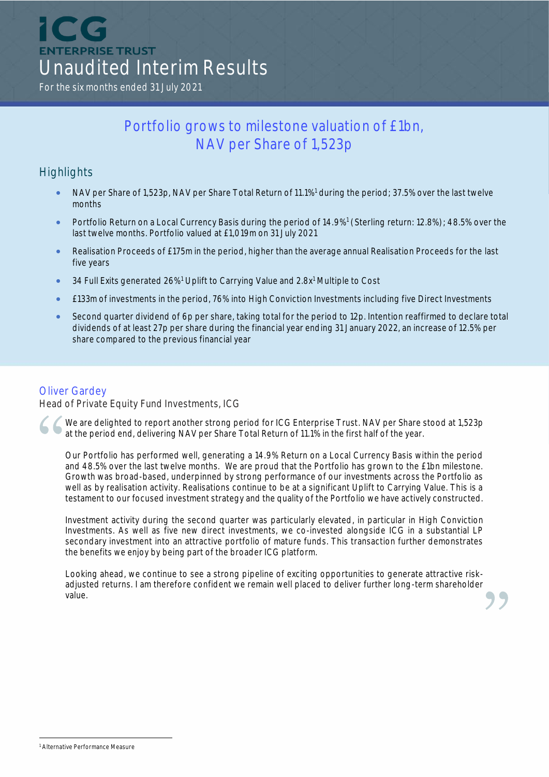ICO **ENTERPRISE TRUST** Unaudited Interim Results

For the six months ended 31 July 2021

# Portfolio grows to milestone valuation of £1bn, NAV per Share of 1,523p

## **Highlights**

- NAV per Share of 1,523p, NAV per Share Total Return of 11.1%<sup>1</sup> during the period; 37.5% over the last twelve months
- Portfolio Return on a Local Currency Basis during the period of 14.9%<sup>1</sup> (Sterling return: 12.8%); 48.5% over the last twelve months. Portfolio valued at £1,019m on 31 July 2021
- Realisation Proceeds of £175m in the period, higher than the average annual Realisation Proceeds for the last five years
- 34 Full Exits generated 26%<sup>1</sup> Uplift to Carrying Value and 2.8x<sup>1</sup> Multiple to Cost
- £133m of investments in the period, 76% into High Conviction Investments including five Direct Investments
- Second quarter dividend of 6p per share, taking total for the period to 12p. Intention reaffirmed to declare total dividends of at least 27p per share during the financial year ending 31 January 2022, an increase of 12.5% per share compared to the previous financial year

### Oliver Gardey

Head of Private Equity Fund Investments, ICG

We are delighted to report another strong period for ICG Enterprise Trust. NAV per Share stood at 1,523p at the period end, delivering NAV per Share Total Return of 11.1% in the first half of the year.

Our Portfolio has performed well, generating a 14.9% Return on a Local Currency Basis within the period and 48.5% over the last twelve months. We are proud that the Portfolio has grown to the £1bn milestone. Growth was broad-based, underpinned by strong performance of our investments across the Portfolio as well as by realisation activity. Realisations continue to be at a significant Uplift to Carrying Value. This is a testament to our focused investment strategy and the quality of the Portfolio we have actively constructed.

Investment activity during the second quarter was particularly elevated, in particular in High Conviction Investments. As well as five new direct investments, we co-invested alongside ICG in a substantial LP secondary investment into an attractive portfolio of mature funds. This transaction further demonstrates the benefits we enjoy by being part of the broader ICG platform.

Looking ahead, we continue to see a strong pipeline of exciting opportunities to generate attractive riskadjusted returns. I am therefore confident we remain well placed to deliver further long-term shareholder value.

<sup>1</sup> Alternative Performance Measure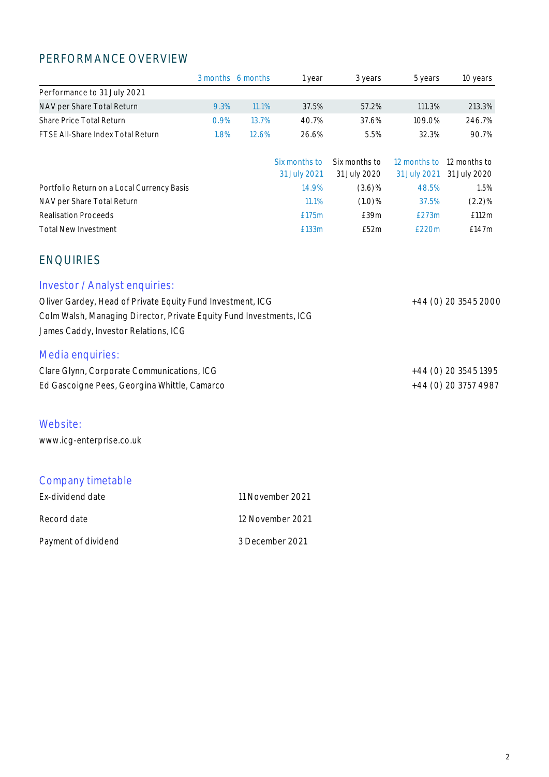# PERFORMANCE OVERVIEW

|                                                                                                                                                                                                            |      | 3 months 6 months | 1 year                        | 3 years                       | 5 years                      | 10 years                     |
|------------------------------------------------------------------------------------------------------------------------------------------------------------------------------------------------------------|------|-------------------|-------------------------------|-------------------------------|------------------------------|------------------------------|
| Performance to 31 July 2021                                                                                                                                                                                |      |                   |                               |                               |                              |                              |
| NAV per Share Total Return                                                                                                                                                                                 | 9.3% | 11.1%             | 37.5%                         | 57.2%                         | 111.3%                       | 213.3%                       |
| Share Price Total Return                                                                                                                                                                                   | 0.9% | 13.7%             | 40.7%                         | 37.6%                         | 109.0%                       | 246.7%                       |
| FTSE All-Share Index Total Return                                                                                                                                                                          | 1.8% | 12.6%             | 26.6%                         | 5.5%                          | 32.3%                        | 90.7%                        |
|                                                                                                                                                                                                            |      |                   | Six months to<br>31 July 2021 | Six months to<br>31 July 2020 | 12 months to<br>31 July 2021 | 12 months to<br>31 July 2020 |
| Portfolio Return on a Local Currency Basis                                                                                                                                                                 |      |                   | 14.9%                         | $(3.6)\%$                     | 48.5%                        | 1.5%                         |
| NAV per Share Total Return                                                                                                                                                                                 |      |                   | 11.1%                         | (1.0)%                        | 37.5%                        | $(2.2)\%$                    |
| <b>Realisation Proceeds</b>                                                                                                                                                                                |      |                   | £175m                         | £39m                          | £273m                        | £112m                        |
| <b>Total New Investment</b>                                                                                                                                                                                |      |                   | £133m                         | £52m                          | £220m                        | £147m                        |
| <b>ENQUIRIES</b>                                                                                                                                                                                           |      |                   |                               |                               |                              |                              |
| Investor / Analyst enquiries:<br>Oliver Gardey, Head of Private Equity Fund Investment, ICG<br>Colm Walsh, Managing Director, Private Equity Fund Investments, ICG<br>James Caddy, Investor Relations, ICG |      |                   |                               |                               |                              | +44 (0) 20 3545 2000         |
| Media enquiries:<br>Clare Glynn, Corporate Communications, ICG                                                                                                                                             |      |                   |                               |                               |                              | +44 (0) 20 3545 1395         |
| Ed Gascoigne Pees, Georgina Whittle, Camarco                                                                                                                                                               |      |                   |                               |                               |                              | +44 (0) 20 3757 4987         |
| Website:<br>www.icg-enterprise.co.uk                                                                                                                                                                       |      |                   |                               |                               |                              |                              |
| Company timetable                                                                                                                                                                                          |      |                   |                               |                               |                              |                              |

| Ex-dividend date    | 11 November 2021 |
|---------------------|------------------|
| Record date         | 12 November 2021 |
| Payment of dividend | 3 December 2021  |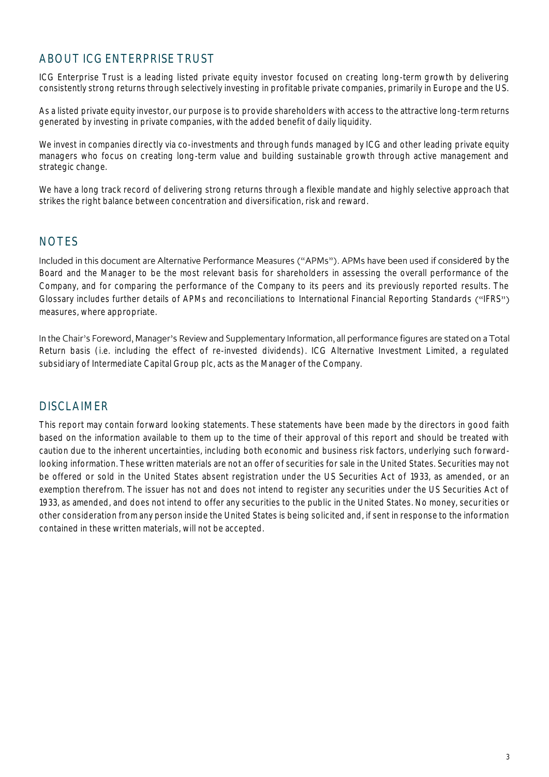## ABOUT ICG ENTERPRISE TRUST

ICG Enterprise Trust is a leading listed private equity investor focused on creating long-term growth by delivering consistently strong returns through selectively investing in profitable private companies, primarily in Europe and the US.

As a listed private equity investor, our purpose is to provide shareholders with access to the attractive long-term returns generated by investing in private companies, with the added benefit of daily liquidity.

We invest in companies directly via co-investments and through funds managed by ICG and other leading private equity managers who focus on creating long-term value and building sustainable growth through active management and strategic change.

We have a long track record of delivering strong returns through a flexible mandate and highly selective approach that strikes the right balance between concentration and diversification, risk and reward.

## **NOTES**

Included in this document are Alternative Performance Measures ("APMs"). APMs have been used if considered by the Board and the Manager to be the most relevant basis for shareholders in assessing the overall performance of the Company, and for comparing the performance of the Company to its peers and its previously reported results. The Glossary includes further details of APMs and reconciliations to International Financial Reporting Standards ("IFRS") measures, where appropriate.

In the Chair's Foreword, Manager's Review and Supplementary Information, all performance figures are stated on a Total Return basis (i.e. including the effect of re-invested dividends). ICG Alternative Investment Limited, a regulated subsidiary of Intermediate Capital Group plc, acts as the Manager of the Company.

## DISCLAIMER

This report may contain forward looking statements. These statements have been made by the directors in good faith based on the information available to them up to the time of their approval of this report and should be treated with caution due to the inherent uncertainties, including both economic and business risk factors, underlying such forwardlooking information. These written materials are not an offer of securities for sale in the United States. Securities may not be offered or sold in the United States absent registration under the US Securities Act of 1933, as amended, or an exemption therefrom. The issuer has not and does not intend to register any securities under the US Securities Act of 1933, as amended, and does not intend to offer any securities to the public in the United States. No money, securities or other consideration from any person inside the United States is being solicited and, if sent in response to the information contained in these written materials, will not be accepted.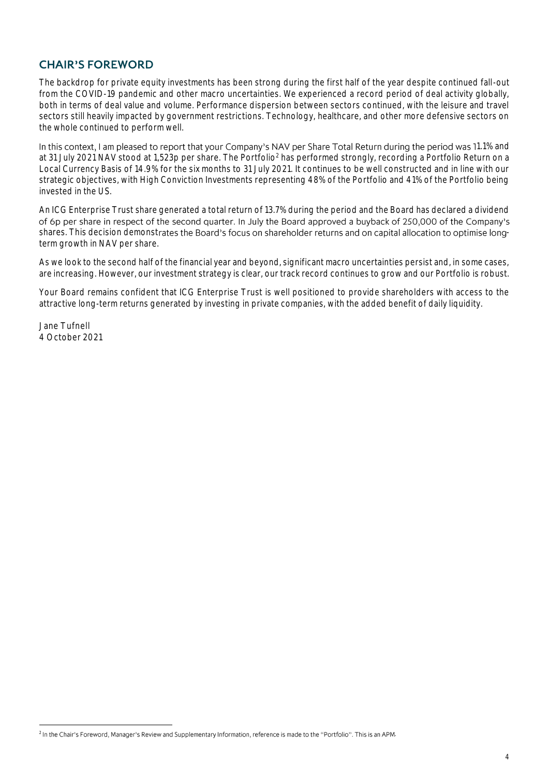## **CHAIR'S FOREWORD**

The backdrop for private equity investments has been strong during the first half of the year despite continued fall-out from the COVID-19 pandemic and other macro uncertainties. We experienced a record period of deal activity globally, both in terms of deal value and volume. Performance dispersion between sectors continued, with the leisure and travel sectors still heavily impacted by government restrictions. Technology, healthcare, and other more defensive sectors on the whole continued to perform well.

In this context, I am pleased to report that your Company's NAV per Share Total Return during the period was 11.1% and at 31 July 2021 NAV stood at 1,523p per share. The Portfolio<sup>2</sup> has performed strongly, recording a Portfolio Return on a Local Currency Basis of 14.9% for the six months to 31 July 2021. It continues to be well constructed and in line with our strategic objectives, with High Conviction Investments representing 48% of the Portfolio and 41% of the Portfolio being invested in the US.

An ICG Enterprise Trust share generated a total return of 13.7% during the period and the Board has declared a dividend of 6p per share in respect of the second quarter. In July the Board approved a buyback of 250,000 of the Company's shares. This decision demonstrates the Board's focus on shareholder returns and on capital allocation to optimise longterm growth in NAV per share.

As we look to the second half of the financial year and beyond, significant macro uncertainties persist and, in some cases, are increasing. However, our investment strategy is clear, our track record continues to grow and our Portfolio is robust.

Your Board remains confident that ICG Enterprise Trust is well positioned to provide shareholders with access to the attractive long-term returns generated by investing in private companies, with the added benefit of daily liquidity.

Jane Tufnell 4 October 2021

<sup>&</sup>lt;sup>2</sup> In the Chair's Foreword, Manager's Review and Supplementary Information, reference is made to the "Portfolio". This is an APM.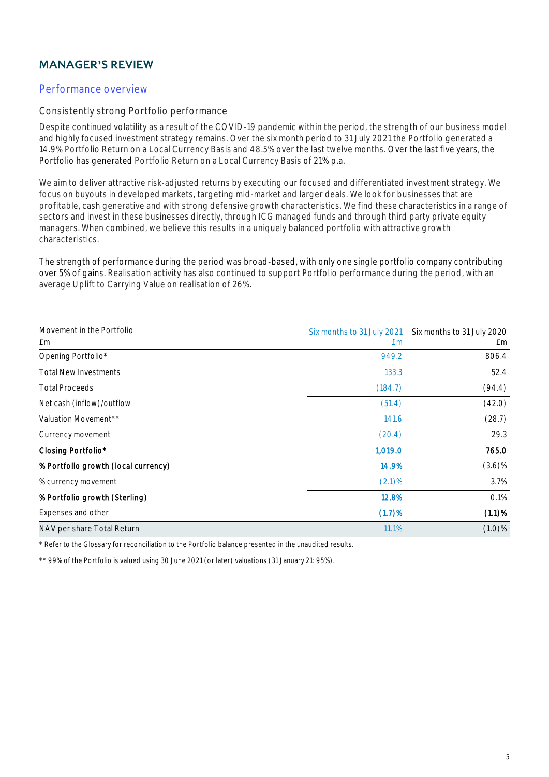# **MANAGER'S REVIEW**

### Performance overview

#### Consistently strong Portfolio performance

Despite continued volatility as a result of the COVID-19 pandemic within the period, the strength of our business model and highly focused investment strategy remains. Over the six month period to 31 July 2021 the Portfolio generated a 14.9% Portfolio Return on a Local Currency Basis and 48.5% over the last twelve months. Over the last five years, the Portfolio has generated Portfolio Return on a Local Currency Basis of 21% p.a.

We aim to deliver attractive risk-adjusted returns by executing our focused and differentiated investment strategy. We focus on buyouts in developed markets, targeting mid-market and larger deals. We look for businesses that are profitable, cash generative and with strong defensive growth characteristics. We find these characteristics in a range of sectors and invest in these businesses directly, through ICG managed funds and through third party private equity managers. When combined, we believe this results in a uniquely balanced portfolio with attractive growth characteristics.

The strength of performance during the period was broad-based, with only one single portfolio company contributing over 5% of gains. Realisation activity has also continued to support Portfolio performance during the period, with an average Uplift to Carrying Value on realisation of 26%.

| Movement in the Portfolio<br>£m     | Six months to 31 July 2021<br>£m | Six months to 31 July 2020 |  |
|-------------------------------------|----------------------------------|----------------------------|--|
|                                     |                                  | £m                         |  |
| Opening Portfolio*                  | 949.2                            | 806.4                      |  |
| <b>Total New Investments</b>        | 133.3                            | 52.4                       |  |
| <b>Total Proceeds</b>               | (184.7)                          | (94.4)                     |  |
| Net cash (inflow)/outflow           | (51.4)                           | (42.0)                     |  |
| Valuation Movement**                | 141.6                            | (28.7)                     |  |
| Currency movement                   | (20.4)                           | 29.3                       |  |
| Closing Portfolio*                  | 1,019.0                          | 765.0                      |  |
| % Portfolio growth (local currency) | 14.9%                            | $(3.6)\%$                  |  |
| % currency movement                 | $(2.1)$ %                        | 3.7%                       |  |
| % Portfolio growth (Sterling)       | 12.8%                            | 0.1%                       |  |
| Expenses and other                  | (1.7)%                           | $(1.1)$ %                  |  |
| NAV per share Total Return          | 11.1%                            | $(1.0)\%$                  |  |

\* Refer to the Glossary for reconciliation to the Portfolio balance presented in the unaudited results.

\*\* 99% of the Portfolio is valued using 30 June 2021 (or later) valuations (31 January 21: 95%).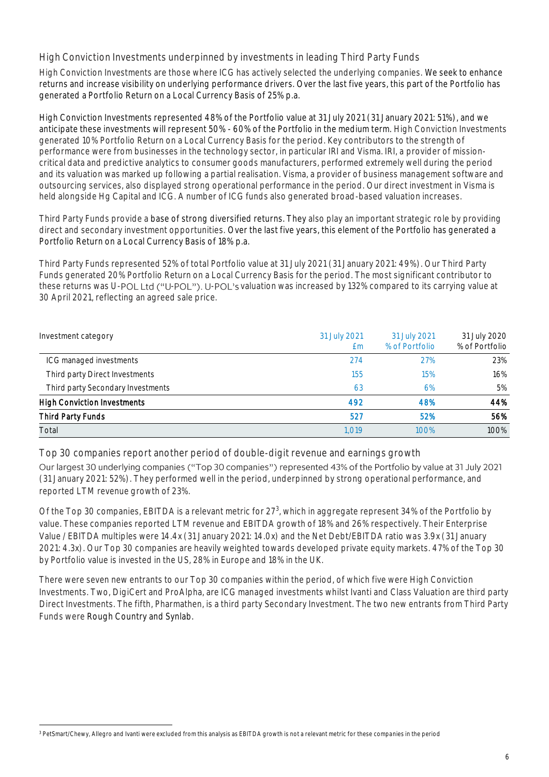High Conviction Investments underpinned by investments in leading Third Party Funds

High Conviction Investments are those where ICG has actively selected the underlying companies. We seek to enhance returns and increase visibility on underlying performance drivers. Over the last five years, this part of the Portfolio has generated a Portfolio Return on a Local Currency Basis of 25% p.a.

High Conviction Investments represented 48% of the Portfolio value at 31 July 2021 (31 January 2021: 51%), and we anticipate these investments will represent 50% - 60% of the Portfolio in the medium term. High Conviction Investments generated 10% Portfolio Return on a Local Currency Basis for the period. Key contributors to the strength of performance were from businesses in the technology sector, in particular IRI and Visma. IRI, a provider of missioncritical data and predictive analytics to consumer goods manufacturers, performed extremely well during the period and its valuation was marked up following a partial realisation. Visma, a provider of business management software and outsourcing services, also displayed strong operational performance in the period. Our direct investment in Visma is held alongside Hg Capital and ICG. A number of ICG funds also generated broad-based valuation increases.

Third Party Funds provide a base of strong diversified returns. They also play an important strategic role by providing direct and secondary investment opportunities. Over the last five years, this element of the Portfolio has generated a Portfolio Return on a Local Currency Basis of 18% p.a.

Third Party Funds represented 52% of total Portfolio value at 31 July 2021 (31 January 2021: 49%). Our Third Party Funds generated 20% Portfolio Return on a Local Currency Basis for the period. The most significant contributor to these returns was U-POL Ltd ("U-POL"). U-POL's valuation was increased by 132% compared to its carrying value at 30 April 2021, reflecting an agreed sale price.

| Investment category                | 31 July 2021<br>£m | 31 July 2021<br>% of Portfolio | 31 July 2020<br>% of Portfolio |
|------------------------------------|--------------------|--------------------------------|--------------------------------|
| ICG managed investments            | 274                | 27%                            | 23%                            |
| Third party Direct Investments     | 155                | 15%                            | 16%                            |
| Third party Secondary Investments  | 63                 | 6%                             | 5%                             |
| <b>High Conviction Investments</b> | 492                | 48%                            | 44%                            |
| Third Party Funds                  | 527                | 52%                            | 56%                            |
| Total                              | 1.019              | 100%                           | 100%                           |

Top 30 companies report another period of double-digit revenue and earnings growth

Our largest 30 underlying companies ("Top 30 companies") represented 43% of the Portfolio by value at 31 July 2021 (31 January 2021: 52%). They performed well in the period, underpinned by strong operational performance, and reported LTM revenue growth of 23%.

Of the Top 30 companies, EBITDA is a relevant metric for 27<sup>3</sup>, which in aggregate represent 34% of the Portfolio by value. These companies reported LTM revenue and EBITDA growth of 18% and 26% respectively. Their Enterprise Value / EBITDA multiples were 14.4x (31 January 2021: 14.0x) and the Net Debt/EBITDA ratio was 3.9x (31 January 2021: 4.3x). Our Top 30 companies are heavily weighted towards developed private equity markets. 47% of the Top 30 by Portfolio value is invested in the US, 28% in Europe and 18% in the UK.

There were seven new entrants to our Top 30 companies within the period, of which five were High Conviction Investments. Two, DigiCert and ProAlpha, are ICG managed investments whilst Ivanti and Class Valuation are third party Direct Investments. The fifth, Pharmathen, is a third party Secondary Investment. The two new entrants from Third Party Funds were Rough Country and Synlab.

<sup>3</sup> PetSmart/Chewy, Allegro and Ivanti were excluded from this analysis as EBITDA growth is not a relevant metric for these companies in the period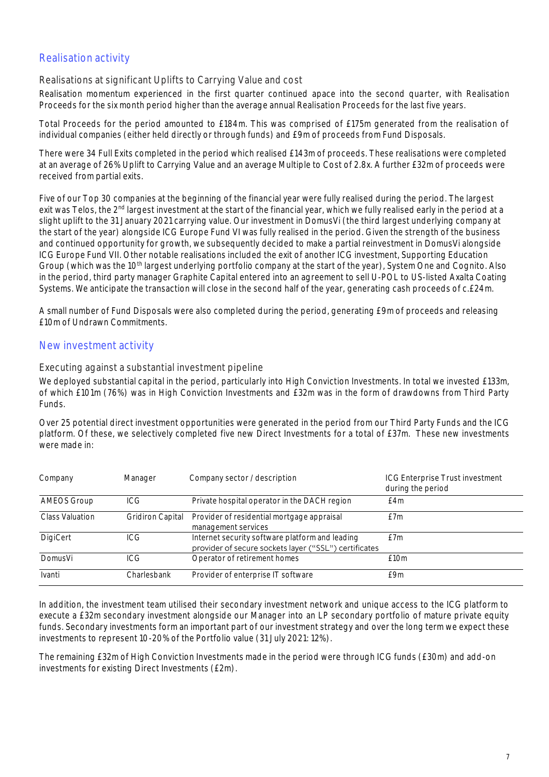## Realisation activity

#### Realisations at significant Uplifts to Carrying Value and cost

Realisation momentum experienced in the first quarter continued apace into the second quarter, with Realisation Proceeds for the six month period higher than the average annual Realisation Proceeds for the last five years.

Total Proceeds for the period amounted to £184m. This was comprised of £175m generated from the realisation of individual companies (either held directly or through funds) and £9m of proceeds from Fund Disposals.

There were 34 Full Exits completed in the period which realised £143m of proceeds. These realisations were completed at an average of 26% Uplift to Carrying Value and an average Multiple to Cost of 2.8x. A further £32m of proceeds were received from partial exits.

Five of our Top 30 companies at the beginning of the financial year were fully realised during the period. The largest exit was Telos, the 2<sup>nd</sup> largest investment at the start of the financial year, which we fully realised early in the period at a slight uplift to the 31 January 2021 carrying value. Our investment in DomusVi (the third largest underlying company at the start of the year) alongside ICG Europe Fund VI was fully realised in the period. Given the strength of the business and continued opportunity for growth, we subsequently decided to make a partial reinvestment in DomusVi alongside ICG Europe Fund VII. Other notable realisations included the exit of another ICG investment, Supporting Education Group (which was the 10<sup>th</sup> largest underlying portfolio company at the start of the year), System One and Cognito. Also in the period, third party manager Graphite Capital entered into an agreement to sell U-POL to US-listed Axalta Coating Systems. We anticipate the transaction will close in the second half of the year, generating cash proceeds of c.£24m.

A small number of Fund Disposals were also completed during the period, generating £9m of proceeds and releasing £10m of Undrawn Commitments.

#### New investment activity

#### Executing against a substantial investment pipeline

We deployed substantial capital in the period, particularly into High Conviction Investments. In total we invested £133m, of which £101m (76%) was in High Conviction Investments and £32m was in the form of drawdowns from Third Party Funds.

Over 25 potential direct investment opportunities were generated in the period from our Third Party Funds and the ICG platform. Of these, we selectively completed five new Direct Investments for a total of £37m. These new investments were made in:

| Company         | Manager                 | Company sector / description                                                                             | <b>ICG Enterprise Trust investment</b><br>during the period |
|-----------------|-------------------------|----------------------------------------------------------------------------------------------------------|-------------------------------------------------------------|
| AMEOS Group     | ICG                     | Private hospital operator in the DACH region                                                             | £4m                                                         |
| Class Valuation | <b>Gridiron Capital</b> | Provider of residential mortgage appraisal<br>management services                                        | f7m                                                         |
| DigiCert        | ICG.                    | Internet security software platform and leading<br>provider of secure sockets layer ("SSL") certificates | f7m                                                         |
| DomusVi         | ICG.                    | Operator of retirement homes                                                                             | f10m                                                        |
| Ivanti          | Charlesbank             | Provider of enterprise IT software                                                                       | f9m                                                         |

In addition, the investment team utilised their secondary investment network and unique access to the ICG platform to execute a £32m secondary investment alongside our Manager into an LP secondary portfolio of mature private equity funds. Secondary investments form an important part of our investment strategy and over the long term we expect these investments to represent 10-20% of the Portfolio value (31 July 2021: 12%).

The remaining £32m of High Conviction Investments made in the period were through ICG funds (£30m) and add-on investments for existing Direct Investments (£2m).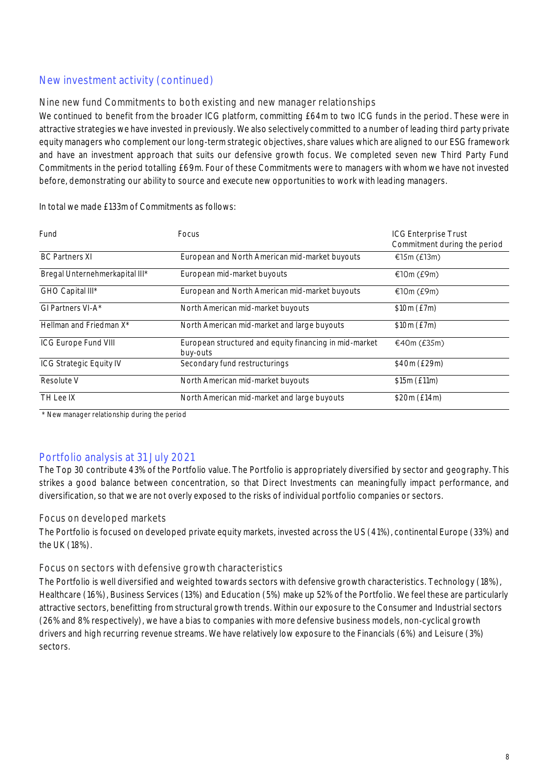## New investment activity (continued)

#### Nine new fund Commitments to both existing and new manager relationships

We continued to benefit from the broader ICG platform, committing £64m to two ICG funds in the period. These were in attractive strategies we have invested in previously. We also selectively committed to a number of leading third party private equity managers who complement our long-term strategic objectives, share values which are aligned to our ESG framework and have an investment approach that suits our defensive growth focus. We completed seven new Third Party Fund Commitments in the period totalling £69m. Four of these Commitments were to managers with whom we have not invested before, demonstrating our ability to source and execute new opportunities to work with leading managers.

| Fund                                | <b>Focus</b>                                                       | <b>ICG Enterprise Trust</b><br>Commitment during the period |
|-------------------------------------|--------------------------------------------------------------------|-------------------------------------------------------------|
| <b>BC Partners XI</b>               | European and North American mid-market buyouts                     | €15m $(E13m)$                                               |
| Bregal Unternehmerkapital III*      | European mid-market buyouts                                        | €10m (£9m)                                                  |
| GHO Capital III*                    | European and North American mid-market buyouts                     | €10m (£9m)                                                  |
| GI Partners VI-A*                   | North American mid-market buyouts                                  | \$10m (E7m)                                                 |
| Hellman and Friedman X <sup>*</sup> | North American mid-market and large buyouts                        | \$10m (E7m)                                                 |
| ICG Europe Fund VIII                | European structured and equity financing in mid-market<br>buy-outs | £40m(E35m)                                                  |
| <b>ICG Strategic Equity IV</b>      | Secondary fund restructurings                                      | \$40m (£29m)                                                |
| Resolute V                          | North American mid-market buyouts                                  | \$15m (£11m)                                                |
| TH Lee IX                           | North American mid-market and large buyouts                        | \$20m (£14m)                                                |

In total we made £133m of Commitments as follows:

\* New manager relationship during the period

## Portfolio analysis at 31 July 2021

The Top 30 contribute 43% of the Portfolio value. The Portfolio is appropriately diversified by sector and geography. This strikes a good balance between concentration, so that Direct Investments can meaningfully impact performance, and diversification, so that we are not overly exposed to the risks of individual portfolio companies or sectors.

#### Focus on developed markets

The Portfolio is focused on developed private equity markets, invested across the US (41%), continental Europe (33%) and the UK (18%).

#### Focus on sectors with defensive growth characteristics

The Portfolio is well diversified and weighted towards sectors with defensive growth characteristics. Technology (18%), Healthcare (16%), Business Services (13%) and Education (5%) make up 52% of the Portfolio. We feel these are particularly attractive sectors, benefitting from structural growth trends. Within our exposure to the Consumer and Industrial sectors (26% and 8% respectively), we have a bias to companies with more defensive business models, non-cyclical growth drivers and high recurring revenue streams. We have relatively low exposure to the Financials (6%) and Leisure (3%) sectors.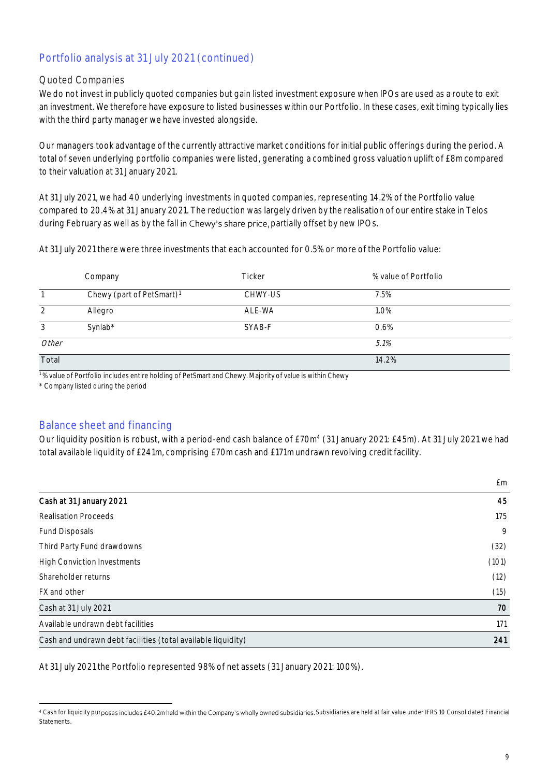## Portfolio analysis at 31 July 2021 (continued)

#### Quoted Companies

We do not invest in publicly quoted companies but gain listed investment exposure when IPOs are used as a route to exit an investment. We therefore have exposure to listed businesses within our Portfolio. In these cases, exit timing typically lies with the third party manager we have invested alongside.

Our managers took advantage of the currently attractive market conditions for initial public offerings during the period. A total of seven underlying portfolio companies were listed, generating a combined gross valuation uplift of £8m compared to their valuation at 31 January 2021.

At 31 July 2021, we had 40 underlying investments in quoted companies, representing 14.2% of the Portfolio value compared to 20.4% at 31 January 2021. The reduction was largely driven by the realisation of our entire stake in Telos during February as well as by the fall in Chewy's share price, partially offset by new IPOs.

At 31 July 2021 there were three investments that each accounted for 0.5% or more of the Portfolio value:

|       | Company                               | Ticker  | % value of Portfolio |  |
|-------|---------------------------------------|---------|----------------------|--|
|       | Chewy (part of PetSmart) <sup>1</sup> | CHWY-US | 7.5%                 |  |
|       | Allegro                               | ALE-WA  | 1.0%                 |  |
| 3     | Synlab*                               | SYAB-F  | 0.6%                 |  |
| Other |                                       |         | 5.1%                 |  |
| Total |                                       |         | 14.2%                |  |

<sup>1</sup>% value of Portfolio includes entire holding of PetSmart and Chewy. Majority of value is within Chewy

\* Company listed during the period

### Balance sheet and financing

Our liquidity position is robust, with a period-end cash balance of £70m<sup>4</sup> (31 January 2021: £45m). At 31 July 2021 we had total available liquidity of £241m, comprising £70m cash and £171m undrawn revolving credit facility.

|                                                              | £m    |
|--------------------------------------------------------------|-------|
| Cash at 31 January 2021                                      | 45    |
| <b>Realisation Proceeds</b>                                  | 175   |
| <b>Fund Disposals</b>                                        | 9     |
| Third Party Fund drawdowns                                   | (32)  |
| <b>High Conviction Investments</b>                           | (101) |
| Shareholder returns                                          | (12)  |
| FX and other                                                 | (15)  |
| Cash at 31 July 2021                                         | 70    |
| Available undrawn debt facilities                            | 171   |
| Cash and undrawn debt facilities (total available liquidity) | 241   |

At 31 July 2021 the Portfolio represented 98% of net assets (31 January 2021: 100%).

<sup>4</sup> Cash for liquidity purposes includes £40.2m held within the Company's wholly owned subsidiaries. Subsidiaries are held at fair value under IFRS 10 Consolidated Financial **Statements**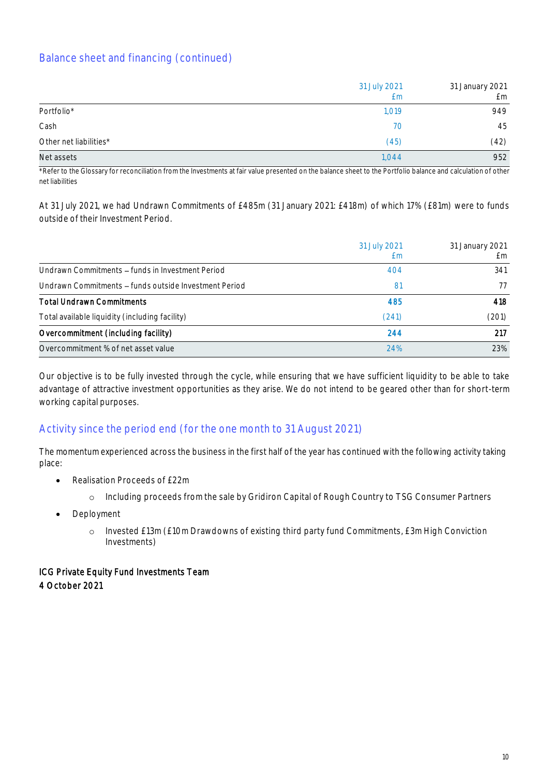## Balance sheet and financing (continued)

|                        | 31 July 2021<br>£m | 31 January 2021<br>£m |
|------------------------|--------------------|-----------------------|
| Portfolio*             | 1,019              | 949                   |
| Cash                   | 70                 | 45                    |
| Other net liabilities* | (45)               | (42)                  |
| Net assets             | 1,044              | 952                   |

\*Refer to the Glossary for reconciliation from the Investments at fair value presented on the balance sheet to the Portfolio balance and calculation of other net liabilities

At 31 July 2021, we had Undrawn Commitments of £485m (31 January 2021: £418m) of which 17% (£81m) were to funds outside of their Investment Period.

|                                                       | 31 July 2021 | 31 January 2021 |
|-------------------------------------------------------|--------------|-----------------|
|                                                       | £m           | f m             |
| Undrawn Commitments – funds in Investment Period      | 404          | 341             |
| Undrawn Commitments – funds outside Investment Period | 81           | 77              |
| <b>Total Undrawn Commitments</b>                      | 485          | 418             |
| Total available liquidity (including facility)        | (241)        | (201)           |
| Overcommitment (including facility)                   | 244          | 217             |
| Overcommitment % of net asset value                   | 24%          | 23%             |

Our objective is to be fully invested through the cycle, while ensuring that we have sufficient liquidity to be able to take advantage of attractive investment opportunities as they arise. We do not intend to be geared other than for short-term working capital purposes.

### Activity since the period end (for the one month to 31 August 2021)

The momentum experienced across the business in the first half of the year has continued with the following activity taking place:

- Realisation Proceeds of £22m
	- o Including proceeds from the sale by Gridiron Capital of Rough Country to TSG Consumer Partners
- Deployment
	- o Invested £13m (£10m Drawdowns of existing third party fund Commitments, £3m High Conviction Investments)

### ICG Private Equity Fund Investments Team 4 October 2021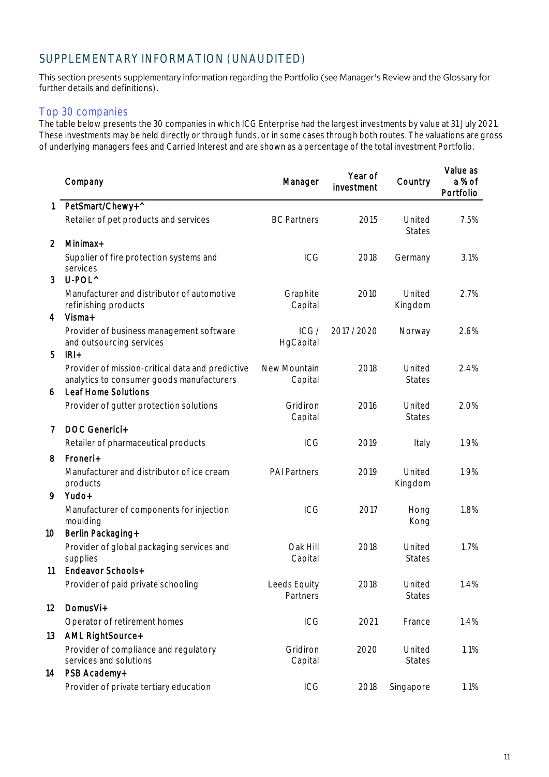## SUPPLEMENTARY INFORMATION (UNAUDITED)

This section presents supplementary information regarding the Portfolio (see Manager's Review and the Glossary for further details and definitions).

#### Top 30 companies

The table below presents the 30 companies in which ICG Enterprise had the largest investments by value at 31 July 2021. These investments may be held directly or through funds, or in some cases through both routes. The valuations are gross of underlying managers fees and Carried Interest and are shown as a percentage of the total investment Portfolio.

|                | Company                                                                                                                               | Manager                  | Year of<br>investment | Country                 | Value as<br>a % of<br>Portfolio |
|----------------|---------------------------------------------------------------------------------------------------------------------------------------|--------------------------|-----------------------|-------------------------|---------------------------------|
| 1              | PetSmart/Chewy+^                                                                                                                      |                          |                       |                         |                                 |
|                | Retailer of pet products and services                                                                                                 | <b>BC Partners</b>       | 2015                  | United<br><b>States</b> | 7.5%                            |
| $\overline{2}$ | Minimax+                                                                                                                              |                          |                       |                         |                                 |
| 3              | Supplier of fire protection systems and<br>services<br>U-POL^                                                                         | ICG                      | 2018                  | Germany                 | 3.1%                            |
|                | Manufacturer and distributor of automotive<br>refinishing products                                                                    | Graphite<br>Capital      | 2010                  | United<br>Kingdom       | 2.7%                            |
| 4              | Visma+<br>Provider of business management software<br>and outsourcing services                                                        | ICG/<br>HgCapital        | 2017 / 2020           | Norway                  | 2.6%                            |
| 5<br>6         | $IRI+$<br>Provider of mission-critical data and predictive<br>analytics to consumer goods manufacturers<br><b>Leaf Home Solutions</b> | New Mountain<br>Capital  | 2018                  | United<br><b>States</b> | 2.4%                            |
|                | Provider of gutter protection solutions                                                                                               | Gridiron<br>Capital      | 2016                  | United<br><b>States</b> | 2.0%                            |
| 7              | DOC Generici+                                                                                                                         |                          |                       |                         |                                 |
|                | Retailer of pharmaceutical products                                                                                                   | ICG                      | 2019                  | Italy                   | 1.9%                            |
| 8              | Froneri+                                                                                                                              |                          |                       |                         |                                 |
| 9              | Manufacturer and distributor of ice cream<br>products<br>Yudo+                                                                        | <b>PAI Partners</b>      | 2019                  | United<br>Kingdom       | 1.9%                            |
|                | Manufacturer of components for injection<br>moulding                                                                                  | <b>ICG</b>               | 2017                  | Hong<br>Kong            | 1.8%                            |
| 10             | Berlin Packaging+<br>Provider of global packaging services and<br>supplies                                                            | Oak Hill<br>Capital      | 2018                  | United<br><b>States</b> | 1.7%                            |
| 11             | Endeavor Schools+                                                                                                                     |                          |                       |                         |                                 |
|                | Provider of paid private schooling                                                                                                    | Leeds Equity<br>Partners | 2018                  | United<br><b>States</b> | 1.4%                            |
| 12             | DomusVi+                                                                                                                              |                          |                       |                         |                                 |
|                | Operator of retirement homes                                                                                                          | ICG                      | 2021                  | France                  | 1.4%                            |
| 13             | AML RightSource+                                                                                                                      |                          |                       |                         |                                 |
| 14             | Provider of compliance and regulatory<br>services and solutions<br>PSB Academy+                                                       | Gridiron<br>Capital      | 2020                  | United<br><b>States</b> | 1.1%                            |
|                | Provider of private tertiary education                                                                                                | ICG                      | 2018                  | Singapore               | 1.1%                            |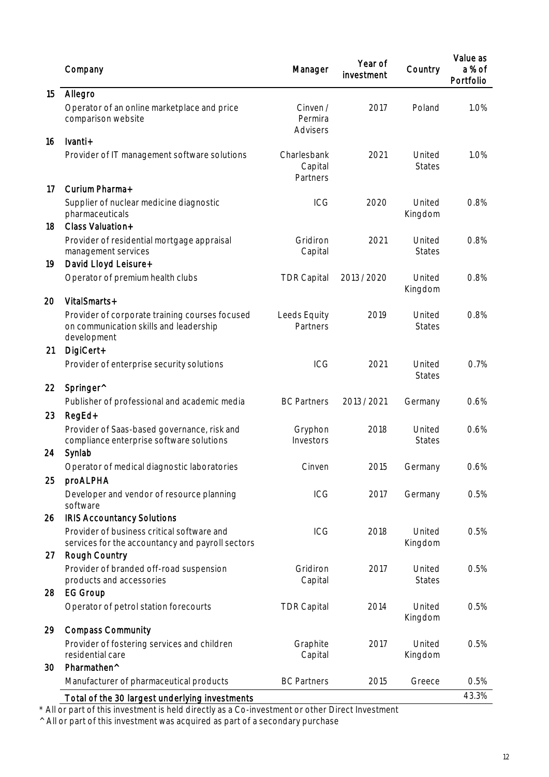|    | Company                                                                                                 | Manager                            | Year of<br>investment | Country                 | Value as<br>a % of<br>Portfolio |
|----|---------------------------------------------------------------------------------------------------------|------------------------------------|-----------------------|-------------------------|---------------------------------|
| 15 | Allegro                                                                                                 |                                    |                       |                         |                                 |
|    | Operator of an online marketplace and price<br>comparison website                                       | Cinven /<br>Permira<br>Advisers    | 2017                  | Poland                  | 1.0%                            |
| 16 | Ivanti+                                                                                                 |                                    |                       |                         |                                 |
|    | Provider of IT management software solutions                                                            | Charlesbank<br>Capital<br>Partners | 2021                  | United<br><b>States</b> | 1.0%                            |
| 17 | Curium Pharma+                                                                                          |                                    |                       |                         |                                 |
| 18 | Supplier of nuclear medicine diagnostic<br>pharmaceuticals<br>Class Valuation+                          | ICG                                | 2020                  | United<br>Kingdom       | 0.8%                            |
|    |                                                                                                         | Gridiron                           | 2021                  | United                  | 0.8%                            |
| 19 | Provider of residential mortgage appraisal<br>management services<br>David Lloyd Leisure+               | Capital                            |                       | <b>States</b>           |                                 |
|    | Operator of premium health clubs                                                                        | <b>TDR Capital</b>                 | 2013 / 2020           | United<br>Kingdom       | 0.8%                            |
| 20 | VitalSmarts+                                                                                            |                                    |                       |                         |                                 |
|    | Provider of corporate training courses focused<br>on communication skills and leadership<br>development | Leeds Equity<br>Partners           | 2019                  | United<br><b>States</b> | 0.8%                            |
| 21 | DigiCert+                                                                                               |                                    |                       |                         |                                 |
|    | Provider of enterprise security solutions                                                               | ICG                                | 2021                  | United<br><b>States</b> | 0.7%                            |
| 22 | Springer <sup>^</sup>                                                                                   |                                    |                       |                         |                                 |
|    | Publisher of professional and academic media                                                            | <b>BC Partners</b>                 | 2013 / 2021           | Germany                 | 0.6%                            |
| 23 | RegEd+                                                                                                  |                                    |                       |                         |                                 |
| 24 | Provider of Saas-based governance, risk and<br>compliance enterprise software solutions<br>Synlab       | Gryphon<br>Investors               | 2018                  | United<br><b>States</b> | 0.6%                            |
|    | Operator of medical diagnostic laboratories                                                             | Cinven                             | 2015                  | Germany                 | 0.6%                            |
| 25 | proALPHA                                                                                                |                                    |                       |                         |                                 |
|    | Developer and vendor of resource planning<br>software                                                   | ICG                                | 2017                  | Germany                 | 0.5%                            |
| 26 | <b>IRIS Accountancy Solutions</b>                                                                       |                                    |                       |                         |                                 |
| 27 | Provider of business critical software and<br>services for the accountancy and payroll sectors          | ICG                                | 2018                  | United<br>Kingdom       | 0.5%                            |
|    | Rough Country<br>Provider of branded off-road suspension                                                | Gridiron                           | 2017                  | United                  | 0.5%                            |
| 28 | products and accessories<br><b>EG Group</b>                                                             | Capital                            |                       | States                  |                                 |
|    | Operator of petrol station forecourts                                                                   | <b>TDR Capital</b>                 | 2014                  | United<br>Kingdom       | 0.5%                            |
| 29 | <b>Compass Community</b>                                                                                |                                    |                       |                         |                                 |
|    | Provider of fostering services and children<br>residential care                                         | Graphite<br>Capital                | 2017                  | United<br>Kingdom       | 0.5%                            |
| 30 | Pharmathen^                                                                                             |                                    |                       |                         |                                 |
|    | Manufacturer of pharmaceutical products                                                                 | <b>BC Partners</b>                 | 2015                  | Greece                  | 0.5%                            |
|    | Total of the 30 largest underlying investments                                                          |                                    |                       |                         | 43.3%                           |

\* All or part of this investment is held directly as a Co-investment or other Direct Investment

^ All or part of this investment was acquired as part of a secondary purchase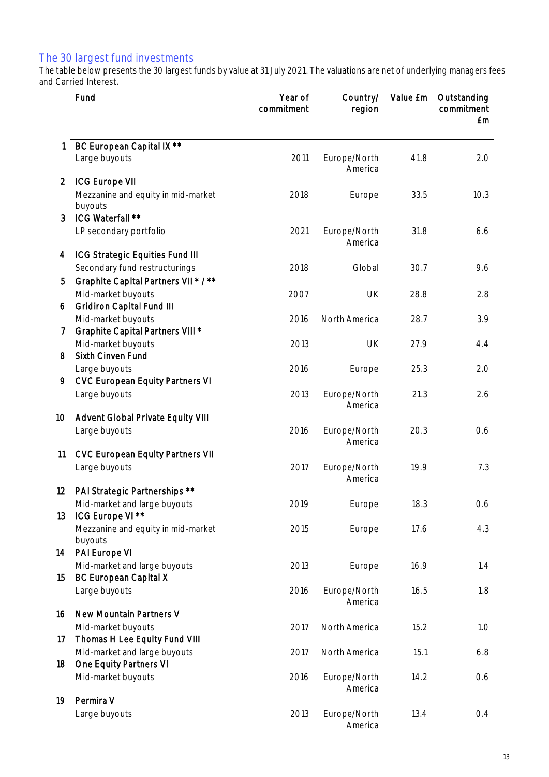### The 30 largest fund investments

The table below presents the 30 largest funds by value at 31 July 2021. The valuations are net of underlying managers fees and Carried Interest.

|                 | Fund                                                          | Year of<br>commitment | Country/<br>region      | Value £m | Outstanding<br>commitment<br>£m |
|-----------------|---------------------------------------------------------------|-----------------------|-------------------------|----------|---------------------------------|
|                 | BC European Capital IX **                                     |                       |                         |          |                                 |
|                 | Large buyouts                                                 | 2011                  | Europe/North<br>America | 41.8     | 2.0                             |
| $\overline{2}$  | <b>ICG Europe VII</b>                                         |                       |                         |          |                                 |
|                 | Mezzanine and equity in mid-market<br>buyouts                 | 2018                  | Europe                  | 33.5     | 10.3                            |
| 3               | ICG Waterfall **                                              |                       |                         |          |                                 |
|                 | LP secondary portfolio                                        | 2021                  | Europe/North<br>America | 31.8     | 6.6                             |
| 4               | <b>ICG Strategic Equities Fund III</b>                        |                       |                         |          |                                 |
|                 | Secondary fund restructurings                                 | 2018                  | Global                  | 30.7     | 9.6                             |
| 5               | Graphite Capital Partners VII * / **                          |                       |                         |          |                                 |
|                 | Mid-market buyouts                                            | 2007                  | <b>UK</b>               | 28.8     | 2.8                             |
| 6               | <b>Gridiron Capital Fund III</b><br>Mid-market buyouts        | 2016                  | North America           | 28.7     | 3.9                             |
| 7               | Graphite Capital Partners VIII *                              |                       |                         |          |                                 |
|                 | Mid-market buyouts                                            | 2013                  | <b>UK</b>               | 27.9     | 4.4                             |
| 8               | <b>Sixth Cinven Fund</b>                                      |                       |                         |          |                                 |
|                 | Large buyouts                                                 | 2016                  | Europe                  | 25.3     | 2.0                             |
| 9               | <b>CVC European Equity Partners VI</b>                        |                       |                         |          |                                 |
|                 | Large buyouts                                                 | 2013                  | Europe/North<br>America | 21.3     | 2.6                             |
| 10 <sup>°</sup> | Advent Global Private Equity VIII                             |                       |                         |          |                                 |
|                 | Large buyouts                                                 | 2016                  | Europe/North<br>America | 20.3     | 0.6                             |
| 11              | <b>CVC European Equity Partners VII</b>                       |                       |                         |          |                                 |
|                 | Large buyouts                                                 | 2017                  | Europe/North<br>America | 19.9     | 7.3                             |
| 12              | PAI Strategic Partnerships **<br>Mid-market and large buyouts | 2019                  |                         | 18.3     |                                 |
| 13              | ICG Europe VI **                                              |                       | Europe                  |          | 0.6                             |
|                 | Mezzanine and equity in mid-market<br>buyouts                 | 2015                  | Europe                  | 17.6     | 4.3                             |
| 14              | PAI Europe VI                                                 |                       |                         |          |                                 |
|                 | Mid-market and large buyouts                                  | 2013                  | Europe                  | 16.9     | 1.4                             |
| 15              | <b>BC European Capital X</b>                                  |                       |                         |          |                                 |
|                 | Large buyouts                                                 | 2016                  | Europe/North<br>America | 16.5     | 1.8                             |
| 16              | New Mountain Partners V                                       |                       |                         |          |                                 |
| 17              | Mid-market buyouts<br>Thomas H Lee Equity Fund VIII           | 2017                  | North America           | 15.2     | 1.0                             |
| 18              | Mid-market and large buyouts<br>One Equity Partners VI        | 2017                  | North America           | 15.1     | 6.8                             |
|                 | Mid-market buyouts                                            | 2016                  | Europe/North            | 14.2     | 0.6                             |
|                 |                                                               |                       | America                 |          |                                 |
| 19              | Permira V                                                     |                       |                         |          |                                 |
|                 | Large buyouts                                                 | 2013                  | Europe/North<br>America | 13.4     | 0.4                             |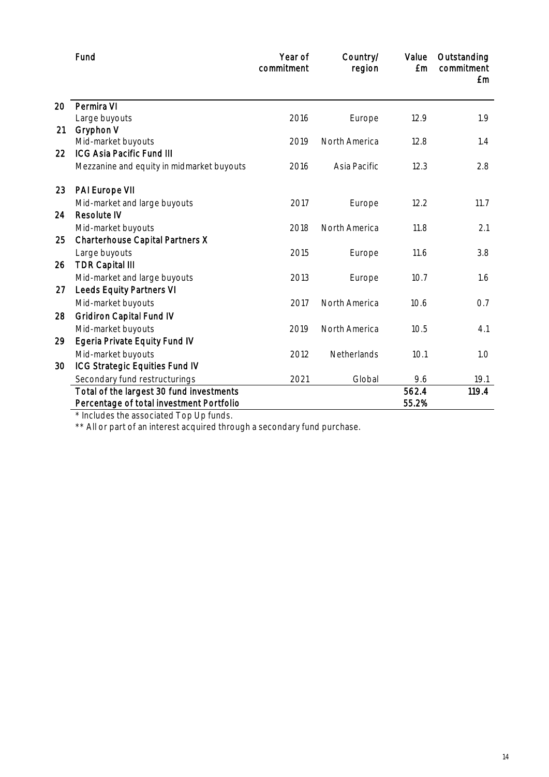|    | Fund                                      | Year of<br>commitment | Country/<br>region | Value<br><b>£m</b> | Outstanding<br>commitment<br><b>£m</b> |
|----|-------------------------------------------|-----------------------|--------------------|--------------------|----------------------------------------|
| 20 | Permira VI                                |                       |                    |                    |                                        |
|    | Large buyouts                             | 2016                  | Europe             | 12.9               | 1.9                                    |
| 21 | Gryphon V                                 |                       |                    |                    |                                        |
|    | Mid-market buyouts                        | 2019                  | North America      | 12.8               | 1.4                                    |
| 22 | <b>ICG Asia Pacific Fund III</b>          |                       |                    |                    |                                        |
|    | Mezzanine and equity in midmarket buyouts | 2016                  | Asia Pacific       | 12.3               | 2.8                                    |
| 23 | PAI Europe VII                            |                       |                    |                    |                                        |
|    | Mid-market and large buyouts              | 2017                  | Europe             | 12.2               | 11.7                                   |
| 24 | <b>Resolute IV</b>                        |                       |                    |                    |                                        |
|    | Mid-market buyouts                        | 2018                  | North America      | 11.8               | 2.1                                    |
| 25 | Charterhouse Capital Partners X           |                       |                    |                    |                                        |
|    | Large buyouts                             | 2015                  | Europe             | 11.6               | 3.8                                    |
| 26 | <b>TDR Capital III</b>                    |                       |                    |                    |                                        |
|    | Mid-market and large buyouts              | 2013                  | Europe             | 10.7               | 1.6                                    |
| 27 | <b>Leeds Equity Partners VI</b>           |                       |                    |                    |                                        |
|    | Mid-market buyouts                        | 2017                  | North America      | 10.6               | 0.7                                    |
| 28 | <b>Gridiron Capital Fund IV</b>           |                       |                    |                    |                                        |
|    | Mid-market buyouts                        | 2019                  | North America      | 10.5               | 4.1                                    |
| 29 | <b>Egeria Private Equity Fund IV</b>      |                       |                    |                    |                                        |
|    | Mid-market buyouts                        | 2012                  | Netherlands        | 10.1               | 1.0                                    |
| 30 | ICG Strategic Equities Fund IV            |                       |                    |                    |                                        |
|    | Secondary fund restructurings             | 2021                  | Global             | 9.6                | 19.1                                   |
|    | Total of the largest 30 fund investments  |                       |                    | 562.4              | 119.4                                  |
|    | Percentage of total investment Portfolio  |                       |                    | 55.2%              |                                        |

\* Includes the associated Top Up funds.

\*\* All or part of an interest acquired through a secondary fund purchase.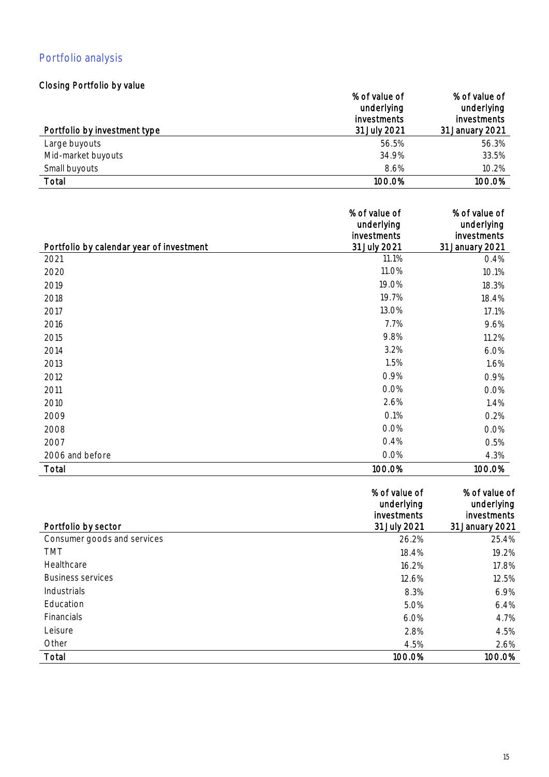# Portfolio analysis

## Closing Portfolio by value

|                              | % of value of<br>underlying<br><i>investments</i> | % of value of<br>underlying<br>investments |
|------------------------------|---------------------------------------------------|--------------------------------------------|
| Portfolio by investment type | 31 July 2021                                      | 31 January 2021                            |
| Large buyouts                | 56.5%                                             | 56.3%                                      |
| Mid-market buyouts           | 34.9%                                             | 33.5%                                      |
| Small buyouts                | 8.6%                                              | 10.2%                                      |
| Total                        | 100.0%                                            | 100.0%                                     |

|                                          | % of value of             | % of value of             |
|------------------------------------------|---------------------------|---------------------------|
|                                          | underlying<br>investments | underlying<br>investments |
| Portfolio by calendar year of investment | 31 July 2021              | 31 January 2021           |
| 2021                                     | 11.1%                     | 0.4%                      |
| 2020                                     | 11.0%                     | 10.1%                     |
| 2019                                     | 19.0%                     | 18.3%                     |
| 2018                                     | 19.7%                     | 18.4%                     |
| 2017                                     | 13.0%                     | 17.1%                     |
| 2016                                     | 7.7%                      | 9.6%                      |
| 2015                                     | 9.8%                      | 11.2%                     |
| 2014                                     | 3.2%                      | 6.0%                      |
| 2013                                     | 1.5%                      | 1.6%                      |
| 2012                                     | 0.9%                      | 0.9%                      |
| 2011                                     | 0.0%                      | 0.0%                      |
| 2010                                     | 2.6%                      | 1.4%                      |
| 2009                                     | 0.1%                      | 0.2%                      |
| 2008                                     | 0.0%                      | 0.0%                      |
| 2007                                     | 0.4%                      | 0.5%                      |
| 2006 and before                          | 0.0%                      | 4.3%                      |
| Total                                    | 100.0%                    | 100.0%                    |

| Portfolio by sector         | % of value of<br>underlying<br>investments<br>31 July 2021 | % of value of<br>underlying<br>investments<br>31 January 2021 |
|-----------------------------|------------------------------------------------------------|---------------------------------------------------------------|
|                             |                                                            |                                                               |
| Consumer goods and services | 26.2%                                                      | 25.4%                                                         |
| <b>TMT</b>                  | 18.4%                                                      | 19.2%                                                         |
| Healthcare                  | 16.2%                                                      | 17.8%                                                         |
| <b>Business services</b>    | 12.6%                                                      | 12.5%                                                         |
| Industrials                 | 8.3%                                                       | 6.9%                                                          |
| Education                   | 5.0%                                                       | 6.4%                                                          |
| <b>Financials</b>           | 6.0%                                                       | 4.7%                                                          |
| Leisure                     | 2.8%                                                       | 4.5%                                                          |
| Other                       | 4.5%                                                       | 2.6%                                                          |
| Total                       | 100.0%                                                     | 100.0%                                                        |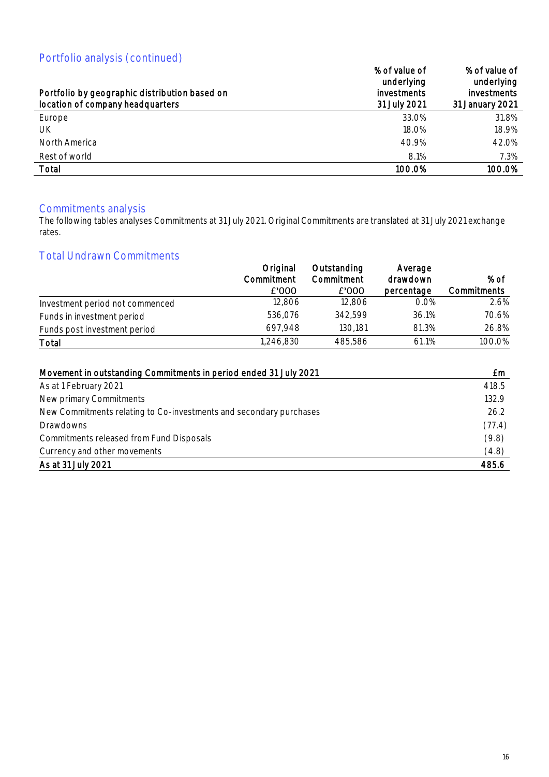# Portfolio analysis (continued)

| $\sim$ of the median point (editional components)<br>Portfolio by geographic distribution based on<br>location of company headquarters | % of value of<br>underlying<br><i>investments</i><br>31 July 2021 | % of value of<br>underlying<br><i>investments</i><br>31 January 2021 |
|----------------------------------------------------------------------------------------------------------------------------------------|-------------------------------------------------------------------|----------------------------------------------------------------------|
| Europe                                                                                                                                 | 33.0%                                                             | 31.8%                                                                |
| UK                                                                                                                                     | 18.0%                                                             | 18.9%                                                                |
| North America                                                                                                                          | 40.9%                                                             | 42.0%                                                                |
| Rest of world                                                                                                                          | 8.1%                                                              | 7.3%                                                                 |
| Total                                                                                                                                  | 100.0%                                                            | 100.0%                                                               |

### Commitments analysis

The following tables analyses Commitments at 31 July 2021. Original Commitments are translated at 31 July 2021 exchange rates.

## Total Undrawn Commitments

|                                 | Original            | Outstanding         | Average                |                     |
|---------------------------------|---------------------|---------------------|------------------------|---------------------|
|                                 | Commitment<br>£'000 | Commitment<br>£'000 | drawdown<br>percentage | % of<br>Commitments |
| Investment period not commenced | 12,806              | 12,806              | 0.0%                   | 2.6%                |
| Funds in investment period      | 536,076             | 342,599             | 36.1%                  | 70.6%               |
| Funds post investment period    | 697,948             | 130,181             | 81.3%                  | 26.8%               |
| Total                           | 1,246,830           | 485,586             | 61.1%                  | 100.0%              |

| Movement in outstanding Commitments in period ended 31 July 2021   | £m     |
|--------------------------------------------------------------------|--------|
| As at 1 February 2021                                              | 418.5  |
| New primary Commitments                                            | 132.9  |
| New Commitments relating to Co-investments and secondary purchases | 26.2   |
| Drawdowns                                                          | (77.4) |
| Commitments released from Fund Disposals                           | (9.8)  |
| Currency and other movements                                       | (4.8)  |
| As at 31 July 2021                                                 | 485.6  |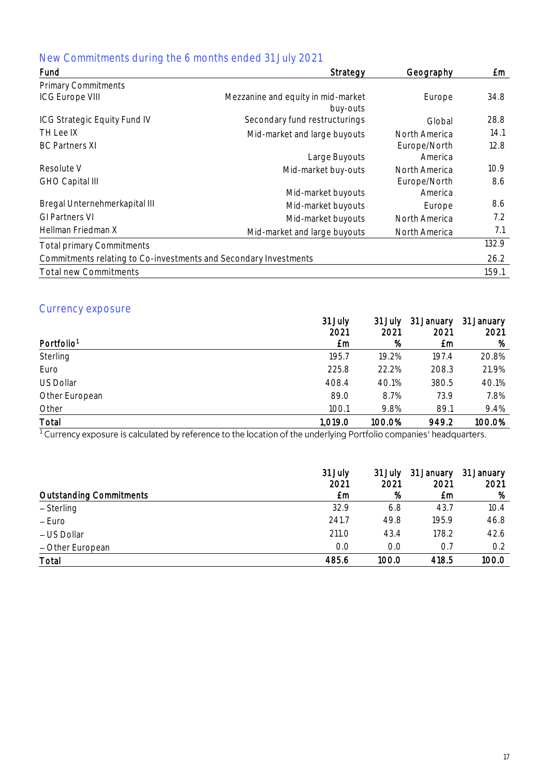# New Commitments during the 6 months ended 31 July 2021

| Fund                                                             | Strategy                                       | Geography               | £m                |
|------------------------------------------------------------------|------------------------------------------------|-------------------------|-------------------|
| <b>Primary Commitments</b>                                       |                                                |                         |                   |
| <b>ICG Europe VIII</b>                                           | Mezzanine and equity in mid-market<br>buy-outs | Europe                  | 34.8              |
| <b>ICG Strategic Equity Fund IV</b>                              | Secondary fund restructurings                  | Global                  | 28.8              |
| TH Lee IX                                                        | Mid-market and large buyouts                   | North America           | 14.1              |
| <b>BC Partners XI</b>                                            | Large Buyouts                                  | Europe/North<br>America | 12.8              |
| Resolute V                                                       | Mid-market buy-outs                            | North America           | 10.9 <sup>°</sup> |
| <b>GHO Capital III</b>                                           | Mid-market buyouts                             | Europe/North<br>America | 8.6               |
| Bregal Unternehmerkapital III                                    | Mid-market buyouts                             | Europe                  | 8.6               |
| <b>GI Partners VI</b>                                            | Mid-market buyouts                             | North America           | 7.2               |
| Hellman Friedman X                                               | Mid-market and large buyouts                   | North America           | 7.1               |
| <b>Total primary Commitments</b>                                 |                                                |                         | 132.9             |
| Commitments relating to Co-investments and Secondary Investments |                                                |                         | 26.2              |
| <b>Total new Commitments</b>                                     |                                                |                         | 159.1             |

## Currency exposure

|                        | 31 July<br>2021 | 31 July<br>2021 | 31 January<br>2021 | 31 January<br>2021 |
|------------------------|-----------------|-----------------|--------------------|--------------------|
| Portfolio <sup>1</sup> | £m              | %               | £m                 | %                  |
| Sterling               | 195.7           | 19.2%           | 197.4              | 20.8%              |
| Euro                   | 225.8           | 22.2%           | 208.3              | 21.9%              |
| <b>US Dollar</b>       | 408.4           | 40.1%           | 380.5              | 40.1%              |
| Other European         | 89.0            | 8.7%            | 73.9               | 7.8%               |
| Other                  | 100.1           | 9.8%            | 89.1               | 9.4%               |
| Total                  | 1,019.0         | 100.0%          | 949.2              | 100.0%             |

1

|                                | 31 July<br>2021 | 31 July<br>2021 | 31 January<br>2021 | 31 January<br>2021 |
|--------------------------------|-----------------|-----------------|--------------------|--------------------|
| <b>Outstanding Commitments</b> | £m              | %               | £m                 | %                  |
| $-$ Sterling                   | 32.9            | 6.8             | 43.7               | 10.4               |
| – Euro                         | 241.7           | 49.8            | 195.9              | 46.8               |
| - US Dollar                    | 211.0           | 43.4            | 178.2              | 42.6               |
| - Other European               | 0.0             | 0.0             | 0.7                | 0.2                |
| Total                          | 485.6           | 100.0           | 418.5              | 100.0              |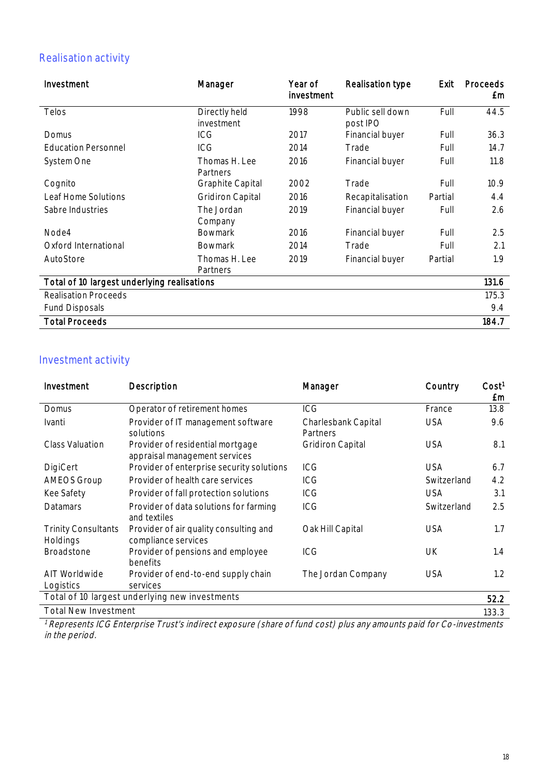# Realisation activity

| Investment                                  | Manager                     | Year of<br>investment | Realisation type             | Exit    | Proceeds<br>£m |
|---------------------------------------------|-----------------------------|-----------------------|------------------------------|---------|----------------|
| Telos                                       | Directly held<br>investment | 1998                  | Public sell down<br>post IPO | Full    | 44.5           |
| Domus                                       | ICG                         | 2017                  | Financial buyer              | Full    | 36.3           |
| <b>Education Personnel</b>                  | ICG                         | 2014                  | Trade                        | Full    | 14.7           |
| System One                                  | Thomas H. Lee<br>Partners   | 2016                  | Financial buyer              | Full    | 11.8           |
| Cognito                                     | <b>Graphite Capital</b>     | 2002                  | Trade                        | Full    | 10.9           |
| Leaf Home Solutions                         | <b>Gridiron Capital</b>     | 2016                  | Recapitalisation             | Partial | 4.4            |
| Sabre Industries                            | The Jordan<br>Company       | 2019                  | Financial buyer              | Full    | 2.6            |
| Node4                                       | <b>Bowmark</b>              | 2016                  | Financial buyer              | Full    | 2.5            |
| Oxford International                        | <b>Bowmark</b>              | 2014                  | Trade                        | Full    | 2.1            |
| AutoStore                                   | Thomas H. Lee<br>Partners   | 2019                  | Financial buyer              | Partial | 1.9            |
| Total of 10 largest underlying realisations |                             |                       |                              | 131.6   |                |
| <b>Realisation Proceeds</b>                 |                             |                       |                              |         | 175.3          |
| <b>Fund Disposals</b>                       |                             |                       |                              |         | 9.4            |
| <b>Total Proceeds</b>                       |                             |                       |                              |         | 184.7          |

## Investment activity

| Investment                             | Description                                                       | Manager                         | Country     | Cost <sup>1</sup><br>£m |
|----------------------------------------|-------------------------------------------------------------------|---------------------------------|-------------|-------------------------|
| Domus                                  | Operator of retirement homes                                      | ICG                             | France      | 13.8                    |
| Ivanti                                 | Provider of IT management software<br>solutions                   | Charlesbank Capital<br>Partners | <b>USA</b>  | 9.6                     |
| <b>Class Valuation</b>                 | Provider of residential mortgage<br>appraisal management services | <b>Gridiron Capital</b>         | <b>USA</b>  | 8.1                     |
| DigiCert                               | Provider of enterprise security solutions                         | ICG.                            | <b>USA</b>  | 6.7                     |
| <b>AMEOS Group</b>                     | Provider of health care services                                  | ICG                             | Switzerland | 4.2                     |
| Kee Safety                             | Provider of fall protection solutions                             | ICG                             | <b>USA</b>  | 3.1                     |
| Datamars                               | Provider of data solutions for farming<br>and textiles            | ICG                             | Switzerland | 2.5                     |
| <b>Trinity Consultants</b><br>Holdings | Provider of air quality consulting and<br>compliance services     | Oak Hill Capital                | <b>USA</b>  | 1.7                     |
| <b>Broadstone</b>                      | Provider of pensions and employee<br>benefits                     | ICG                             | UK          | 1.4                     |
| AIT Worldwide<br>Logistics             | Provider of end-to-end supply chain<br>services                   | The Jordan Company              | <b>USA</b>  | 1.2                     |
|                                        | Total of 10 largest underlying new investments                    |                                 |             | 52.2                    |
| <b>Total New Investment</b>            |                                                                   |                                 |             | 133.3                   |

<sup>1</sup> Represents ICG Enterprise Trust's indirect exposure (share of fund cost) plus any amounts paid for Co-investments in the period.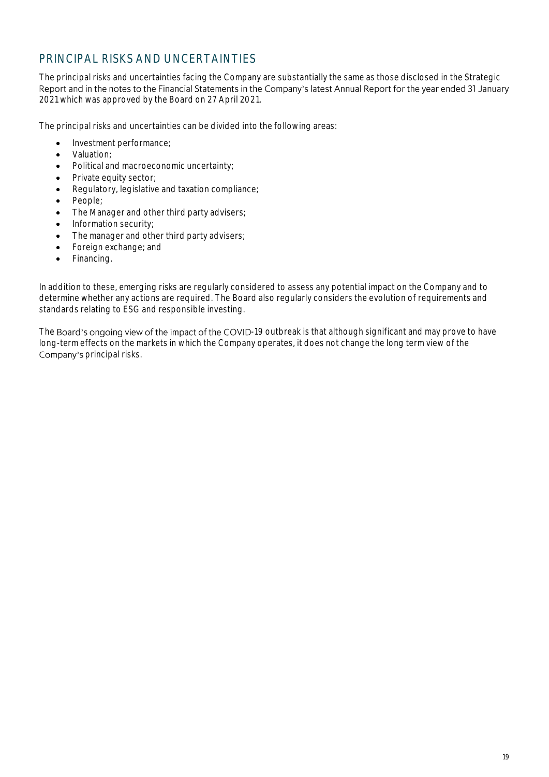## PRINCIPAL RISKS AND UNCERTAINTIES

The principal risks and uncertainties facing the Company are substantially the same as those disclosed in the Strategic Report and in the notes to the Financial Statements in the Company's latest Annual Report for the year ended 31 January 2021 which was approved by the Board on 27 April 2021.

The principal risks and uncertainties can be divided into the following areas:

- Investment performance;
- Valuation;
- Political and macroeconomic uncertainty;
- Private equity sector;
- Regulatory, legislative and taxation compliance;
- People;
- The Manager and other third party advisers;
- Information security;
- The manager and other third party advisers;
- Foreign exchange; and
- Financing.

In addition to these, emerging risks are regularly considered to assess any potential impact on the Company and to determine whether any actions are required. The Board also regularly considers the evolution of requirements and standards relating to ESG and responsible investing.

The Board's ongoing view of the impact of the COVID-19 outbreak is that although significant and may prove to have long-term effects on the markets in which the Company operates, it does not change the long term view of the Company's principal risks.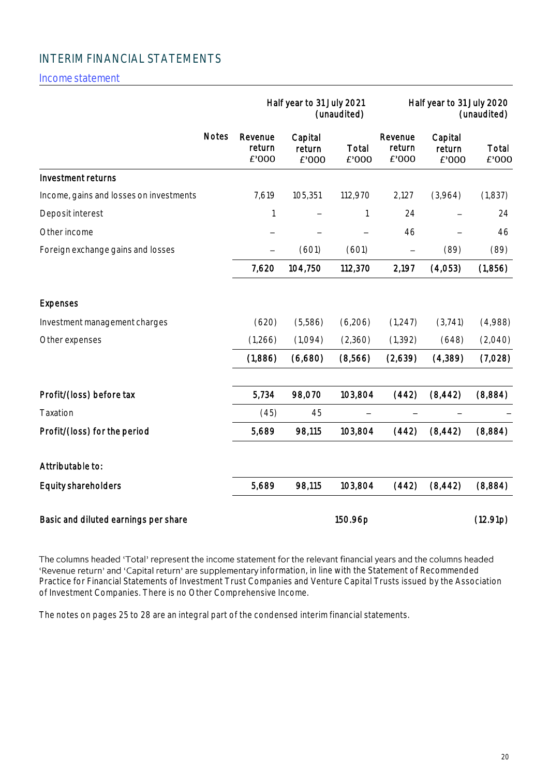## INTERIM FINANCIAL STATEMENTS

Incomestatement

|                                         |              |                            | Half year to 31 July 2021  | (unaudited)    |                            | Half year to 31 July 2020  | (unaudited)    |
|-----------------------------------------|--------------|----------------------------|----------------------------|----------------|----------------------------|----------------------------|----------------|
|                                         | <b>Notes</b> | Revenue<br>return<br>£'000 | Capital<br>return<br>£'000 | Total<br>£'000 | Revenue<br>return<br>£'000 | Capital<br>return<br>£'000 | Total<br>£'000 |
| Investment returns                      |              |                            |                            |                |                            |                            |                |
| Income, gains and losses on investments |              | 7,619                      | 105,351                    | 112,970        | 2,127                      | (3,964)                    | (1,837)        |
| Deposit interest                        |              | 1                          |                            | 1              | 24                         |                            | 24             |
| Other income                            |              |                            |                            |                | 46                         |                            | 46             |
| Foreign exchange gains and losses       |              |                            | (601)                      | (601)          | $\overline{\phantom{0}}$   | (89)                       | (89)           |
|                                         |              | 7,620                      | 104,750                    | 112,370        | 2,197                      | (4,053)                    | (1,856)        |
| <b>Expenses</b>                         |              |                            |                            |                |                            |                            |                |
| Investment management charges           |              | (620)                      | (5,586)                    | (6,206)        | (1, 247)                   | (3,741)                    | (4,988)        |
| Other expenses                          |              | (1,266)                    | (1,094)                    | (2,360)        | (1, 392)                   | (648)                      | (2,040)        |
|                                         |              | (1,886)                    | (6,680)                    | (8,566)        | (2,639)                    | (4,389)                    | (7,028)        |
| Profit/(loss) before tax                |              | 5,734                      | 98,070                     | 103,804        | (442)                      | (8, 442)                   | (8,884)        |
| Taxation                                |              | (45)                       | 45                         |                |                            |                            |                |
| Profit/(loss) for the period            |              | 5,689                      | 98,115                     | 103,804        | (442)                      | (8, 442)                   | (8,884)        |
| Attributable to:                        |              |                            |                            |                |                            |                            |                |
| Equity shareholders                     |              | 5,689                      | 98,115                     | 103,804        | (442)                      | (8, 442)                   | (8,884)        |
| Basic and diluted earnings per share    |              |                            |                            | 150.96p        |                            |                            | (12.91p)       |

The columns headed 'Total' represent the income statement for the relevant financial years and the columns headed information, in line with the Statement of Recommended Practice for Financial Statements of Investment Trust Companies and Venture Capital Trusts issued by the Association of Investment Companies. There is no Other Comprehensive Income.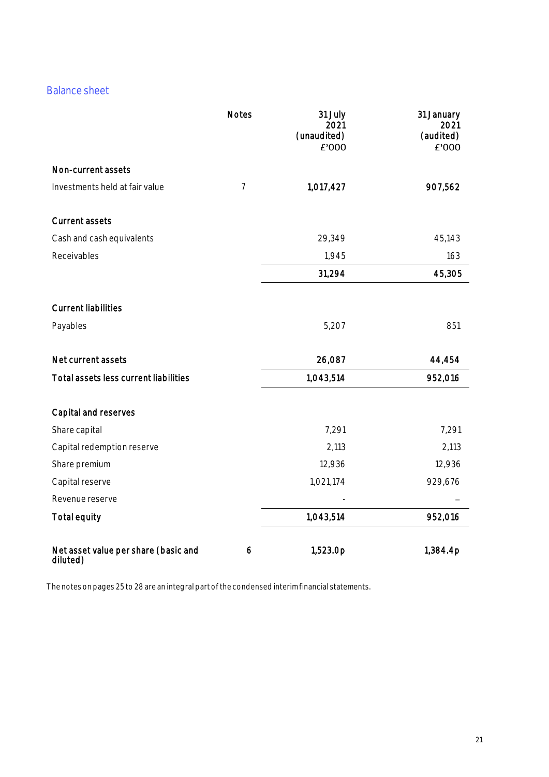## **Balance sheet**

|                                                  | <b>Notes</b>   | 31 July<br>2021<br>(unaudited)<br>£'000 | 31 January<br>2021<br>(audited)<br>£'000 |
|--------------------------------------------------|----------------|-----------------------------------------|------------------------------------------|
| Non-current assets                               |                |                                         |                                          |
| Investments held at fair value                   | $\overline{7}$ | 1,017,427                               | 907,562                                  |
| <b>Current assets</b>                            |                |                                         |                                          |
| Cash and cash equivalents                        |                | 29,349                                  | 45,143                                   |
| Receivables                                      |                | 1,945                                   | 163                                      |
|                                                  |                | 31,294                                  | 45,305                                   |
| <b>Current liabilities</b>                       |                |                                         |                                          |
| Payables                                         |                | 5,207                                   | 851                                      |
| Net current assets                               |                | 26,087                                  | 44,454                                   |
| Total assets less current liabilities            |                | 1,043,514                               | 952,016                                  |
| Capital and reserves                             |                |                                         |                                          |
| Share capital                                    |                | 7,291                                   | 7,291                                    |
| Capital redemption reserve                       |                | 2,113                                   | 2,113                                    |
| Share premium                                    |                | 12,936                                  | 12,936                                   |
| Capital reserve                                  |                | 1,021,174                               | 929,676                                  |
| Revenue reserve                                  |                |                                         |                                          |
| <b>Total equity</b>                              |                | 1,043,514                               | 952,016                                  |
| Net asset value per share (basic and<br>diluted) | 6              | 1,523.0p                                | 1,384.4p                                 |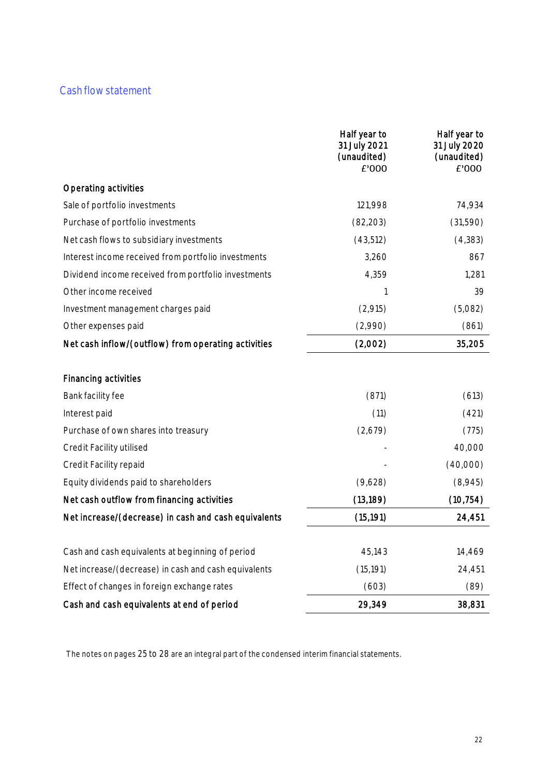## Cash flow statement

|                                                      | Half year to<br>31 July 2021<br>(unaudited)<br>£'000 | Half year to<br>31 July 2020<br>(unaudited)<br>£'000 |
|------------------------------------------------------|------------------------------------------------------|------------------------------------------------------|
| Operating activities                                 |                                                      |                                                      |
| Sale of portfolio investments                        | 121,998                                              | 74,934                                               |
| Purchase of portfolio investments                    | (82, 203)                                            | (31,590)                                             |
| Net cash flows to subsidiary investments             | (43,512)                                             | (4, 383)                                             |
| Interest income received from portfolio investments  | 3,260                                                | 867                                                  |
| Dividend income received from portfolio investments  | 4,359                                                | 1,281                                                |
| Other income received                                | 1                                                    | 39                                                   |
| Investment management charges paid                   | (2,915)                                              | (5,082)                                              |
| Other expenses paid                                  | (2,990)                                              | (861)                                                |
| Net cash inflow/(outflow) from operating activities  | (2,002)                                              | 35,205                                               |
| Financing activities                                 |                                                      |                                                      |
| Bank facility fee                                    | (871)                                                | (613)                                                |
| Interest paid                                        | (11)                                                 | (421)                                                |
| Purchase of own shares into treasury                 | (2,679)                                              | (775)                                                |
| Credit Facility utilised                             |                                                      | 40,000                                               |
| Credit Facility repaid                               |                                                      | (40,000)                                             |
| Equity dividends paid to shareholders                | (9,628)                                              | (8,945)                                              |
| Net cash outflow from financing activities           | (13, 189)                                            | (10, 754)                                            |
| Net increase/(decrease) in cash and cash equivalents | (15, 191)                                            | 24,451                                               |
| Cash and cash equivalents at beginning of period     | 45,143                                               | 14,469                                               |
| Net increase/(decrease) in cash and cash equivalents | (15, 191)                                            | 24,451                                               |
| Effect of changes in foreign exchange rates          | (603)                                                | (89)                                                 |
| Cash and cash equivalents at end of period           | 29,349                                               | 38,831                                               |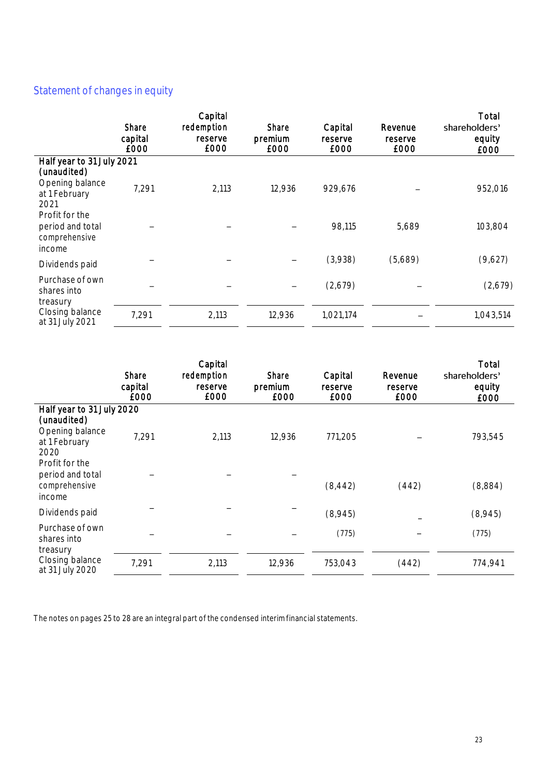# Statement of changes in equity

|                                                               | Share<br>capital<br>£000 | Capital<br>redemption<br>reserve<br>£000 | Share<br>premium<br>£000 | Capital<br>reserve<br>£000 | Revenue<br>reserve<br>£000 | Total<br>shareholders'<br>equity<br>£000 |
|---------------------------------------------------------------|--------------------------|------------------------------------------|--------------------------|----------------------------|----------------------------|------------------------------------------|
| Half year to 31 July 2021                                     |                          |                                          |                          |                            |                            |                                          |
| (unaudited)<br>Opening balance<br>at 1 February<br>2021       | 7,291                    | 2,113                                    | 12,936                   | 929,676                    |                            | 952,016                                  |
| Profit for the<br>period and total<br>comprehensive<br>income |                          |                                          |                          | 98,115                     | 5,689                      | 103,804                                  |
| Dividends paid                                                |                          |                                          |                          | (3,938)                    | (5,689)                    | (9,627)                                  |
| Purchase of own<br>shares into<br>treasury                    |                          |                                          |                          | (2,679)                    |                            | (2,679)                                  |
| Closing balance<br>at 31 July 2021                            | 7,291                    | 2,113                                    | 12,936                   | 1,021,174                  |                            | 1,043,514                                |

|                                                               | Share<br>capital<br><b>E000</b> | Capital<br>redemption<br>reserve<br>£000 | Share<br>premium<br>£000 | Capital<br>reserve<br>£000 | Revenue<br>reserve<br>£000 | Total<br>shareholders'<br>equity<br>£000 |
|---------------------------------------------------------------|---------------------------------|------------------------------------------|--------------------------|----------------------------|----------------------------|------------------------------------------|
| Half year to 31 July 2020                                     |                                 |                                          |                          |                            |                            |                                          |
| (unaudited)<br>Opening balance<br>at 1 February<br>2020       | 7,291                           | 2,113                                    | 12,936                   | 771,205                    |                            | 793,545                                  |
| Profit for the<br>period and total<br>comprehensive<br>income |                                 |                                          |                          | (8, 442)                   | (442)                      | (8,884)                                  |
| Dividends paid                                                |                                 |                                          |                          | (8,945)                    |                            | (8,945)                                  |
| Purchase of own<br>shares into<br>treasury                    |                                 |                                          |                          | (775)                      |                            | (775)                                    |
| Closing balance<br>at 31 July 2020                            | 7,291                           | 2,113                                    | 12,936                   | 753,043                    | (442)                      | 774,941                                  |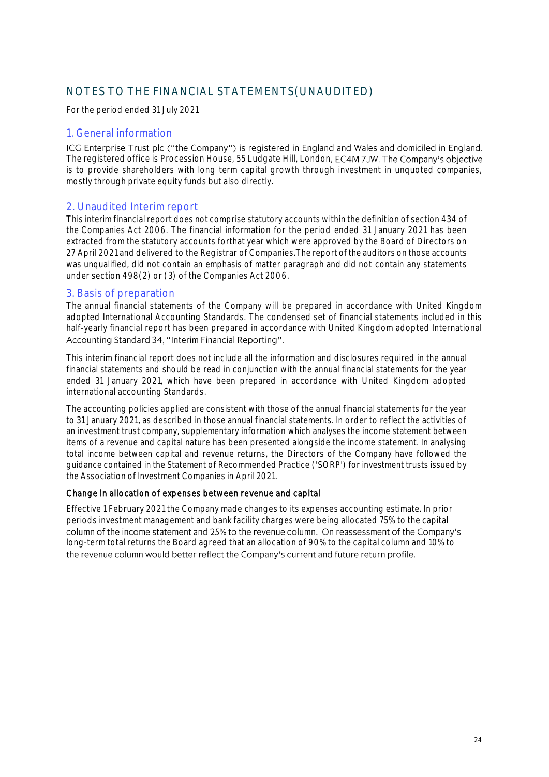## NOTES TO THE FINANCIAL STATEMENTS(UNAUDITED)

For the period ended 31 July 2021

### 1. General information

ICG Enterprise Trust plc ("the Company") is registered in England and Wales and domiciled in England. The registered office is Procession House, 55 Ludgate Hill, London, EC4M 7JW. The Company's objective is to provide shareholders with long term capital growth through investment in unquoted companies, mostly through private equity funds but also directly.

#### 2. Unaudited Interim report

This interim financial report does not comprise statutory accounts within the definition of section 434 of the Companies Act 2006. The financial information for the period ended 31 January 2021 has been extracted from the statutory accounts forthat year which were approved by the Board of Directors on 27 April 2021 and delivered to the Registrar of Companies. The report of the auditors on those accounts was unqualified, did not contain an emphasis of matter paragraph and did not contain any statements under section 498(2) or (3) of the Companies Act 2006.

#### 3. Basis of preparation

The annual financial statements of the Company will be prepared in accordance with United Kingdom adopted International Accounting Standards. The condensed set of financial statements included in this half-yearly financial report has been prepared in accordance with United Kingdom adopted International Accounting Standard 34, "Interim Financial Reporting".

This interim financial report does not include all the information and disclosures required in the annual financial statements and should be read in conjunction with the annual financial statements for the year ended 31 January 2021, which have been prepared in accordance with United Kingdom adopted international accounting Standards.

The accounting policies applied are consistent with those of the annual financial statements for the year to 31 January 2021, as described in those annual financial statements. In order to reflect the activities of an investment trust company, supplementary information which analyses the income statement between items of a revenue and capital nature has been presented alongside the income statement. In analysing total income between capital and revenue returns, the Directors of the Company have followed the guidance contained in the Statement of Recommended Practice ('SORP') for investment trusts issued by the Association of Investment Companies in April 2021.

#### Change in allocation of expenses between revenue and capital

Effective 1 February 2021 the Company made changes to its expenses accounting estimate. In prior periods investment management and bank facility charges were being allocated 75% to the capital column of the income statement and 25% to the revenue column. On reassessment of the Company's long-term total returns the Board agreed that an allocation of 90% to the capital column and 10% to the revenue column would better reflect the Company's current and future return profile.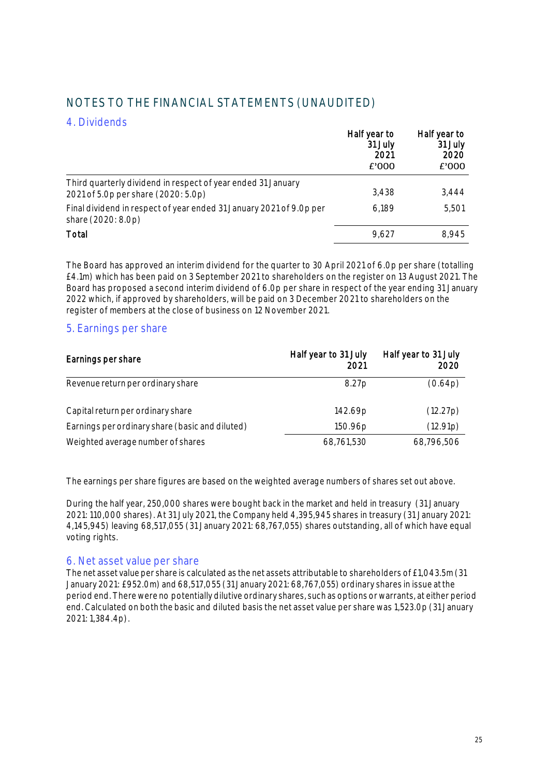| NOTES TO THE FINANCIAL STATEMENTS (UNAUDITED) |  |
|-----------------------------------------------|--|
|                                               |  |

### 4. Dividends

|                                                                                                     | Half year to<br>31 July<br>2021<br>£'000 | Half year to<br>31 July<br>2020<br>£'000 |
|-----------------------------------------------------------------------------------------------------|------------------------------------------|------------------------------------------|
| Third quarterly dividend in respect of year ended 31 January<br>2021 of 5.0p per share (2020: 5.0p) | 3.438                                    | 3.444                                    |
| Final dividend in respect of year ended 31 January 2021 of 9.0p per<br>share (2020: 8.0p)           | 6.189                                    | 5.501                                    |
| Total                                                                                               | 9.627                                    | 8.945                                    |

The Board has approved an interim dividend for the quarter to 30 April 2021 of 6.0p per share (totalling £4.1m) which has been paid on 3 September 2021 to shareholders on the register on 13 August 2021. The Board has proposed a second interim dividend of 6.0p per share in respect of the year ending 31 January 2022 which, if approved by shareholders, will be paid on 3 December 2021 to shareholders on the register of members at the close of business on 12 November 2021.

#### 5. Earnings per share

| Earnings per share                              | Half year to 31 July<br>2021 | Half year to 31 July<br>2020 |
|-------------------------------------------------|------------------------------|------------------------------|
| Revenue return per ordinary share               | 8.27p                        | (0.64p)                      |
| Capital return per ordinary share               | 142.69p                      | (12.27p)                     |
| Earnings per ordinary share (basic and diluted) | 150.96 <sub>p</sub>          | (12.91p)                     |
| Weighted average number of shares               | 68,761,530                   | 68,796,506                   |

The earnings per share figures are based on the weighted average numbers of shares set out above.

During the half year, 250,000 shares were bought back in the market and held in treasury (31 January 2021: 110,000 shares). At 31 July 2021, the Company held 4,395,945 shares in treasury (31 January 2021: 4,145,945) leaving 68,517,055 (31 January 2021: 68,767,055) shares outstanding, all of which have equal voting rights.

#### 6. Net asset value per share

The net asset value per share is calculated as the net assets attributable to shareholders of £1,043.5m (31) January 2021: £952.0m) and 68,517,055 (31 January 2021: 68,767,055) ordinary shares in issue atthe period end. There were no potentially dilutive ordinary shares, such as options orwarrants, at either period end.Calculated on both the basic and diluted basis the net asset value per share was 1,523.0p (31 January 2021:1,384.4p).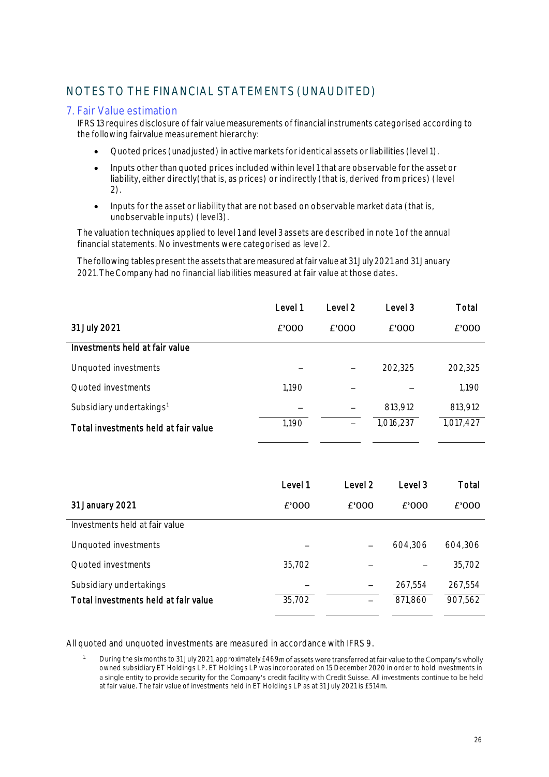# NOTES TO THE FINANCIAL STATEMENTS (UNAUDITED)

### 7. Fair Value estimation

IFRS 13 requires disclosure of fair value measurements of financial instruments categorised according to the following fairvalue measurement hierarchy:

- Quoted prices (unadjusted) in activemarkets foridentical assets orliabilities (level1).
- Inputs other than quoted prices included within level 1 that are observable for the asset or liability, either directly(that is, as prices) or indirectly (that is, derived from prices) (level 2).
- Inputs for the asset or liability that are not based on observable market data (that is, unobservable inputs) (level3).

The valuation techniques applied to level1 and level 3 assets are described in note 1 of the annual financial statements. No investments were categorised as level 2.

The following tables present the assets that are measured at fair value at 31 July 2021 and 31 January 2021.TheCompany had no financial liabilities measured at fair value at those dates.

|                                      | Level 1 | Level 2 | Level 3   | Total     |
|--------------------------------------|---------|---------|-----------|-----------|
| 31 July 2021                         | £'000   | £'000   | £'000     | £'000     |
| Investments held at fair value       |         |         |           |           |
| Unquoted investments                 |         |         | 202,325   | 202,325   |
| Quoted investments                   | 1,190   |         |           | 1,190     |
| Subsidiary undertakings <sup>1</sup> |         |         | 813,912   | 813,912   |
| Total investments held at fair value | 1,190   |         | 1,016,237 | 1,017,427 |

|                                      | Level 1 | Level 2 | Level 3 | Total   |
|--------------------------------------|---------|---------|---------|---------|
| 31 January 2021                      | £'000   | £'000   | £'000   | £'000   |
| Investments held at fair value       |         |         |         |         |
| Unquoted investments                 |         | -       | 604,306 | 604.306 |
| Quoted investments                   | 35,702  |         |         | 35,702  |
| Subsidiary undertakings              |         |         | 267.554 | 267.554 |
| Total investments held at fair value | 35,702  |         | 871,860 | 907,562 |

All quoted and unquoted investments are measured in accordance with IFRS 9.

During the six months to 31 July 2021, approximately £469m of assets were transferred at fair value to the Company's wholly owned subsidiary ET Holdings LP. ET Holdings LP was incorporated on 15 December 2020 in order to hold investments in<br>a single entity to provide security for the Company's credit facility with Credit Suisse. All investments at fair value. The fair value of investments held in ET Holdings LP as at 31 July 2021 is £514m.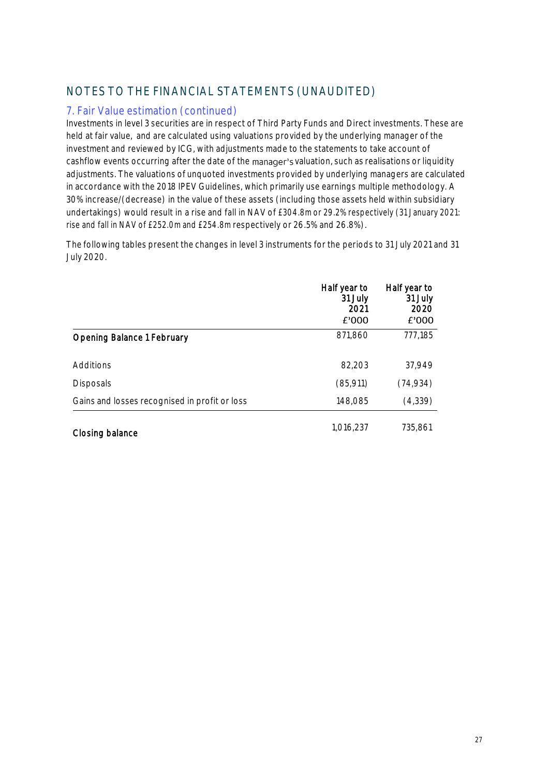# NOTES TO THE FINANCIAL STATEMENTS (UNAUDITED)

## 7. Fair Value estimation (continued)

Investments in level 3 securities are in respect of Third Party Funds and Direct investments. These are held at fair value, and are calculated using valuations provided by the underlying manager of the investment and reviewed by ICG, with adjustments made to the statements to take account of cashflow events occurring after the date of the manager's valuation, such as realisations or liquidity adjustments. The valuations of unquoted investments provided by underlying managers are calculated in accordance with the 2018 IPEV Guidelines, which primarily use earnings multiple methodology. A 30% increase/(decrease) in the value of these assets (including those assets held within subsidiary undertakings) would result in a rise and fall in NAV of £304.8m or 29.2% respectively (31 January 2021: rise and fall in NAV of £252.0m and £254.8m respectively or 26.5% and 26.8%).

The following tables present the changes in level 3 instruments for the periods to 31 July 2021 and 31 July 2020.

|                                               | Half year to<br>31 July<br>2021<br>£'000 | Half year to<br>31 July<br>2020<br>£'000 |
|-----------------------------------------------|------------------------------------------|------------------------------------------|
| <b>Opening Balance 1 February</b>             | 871,860                                  | 777,185                                  |
| Additions                                     | 82,203                                   | 37,949                                   |
| <b>Disposals</b>                              | (85,911)                                 | (74, 934)                                |
| Gains and losses recognised in profit or loss | 148,085                                  | (4,339)                                  |
| Closing balance                               | 1.016.237                                | 735,861                                  |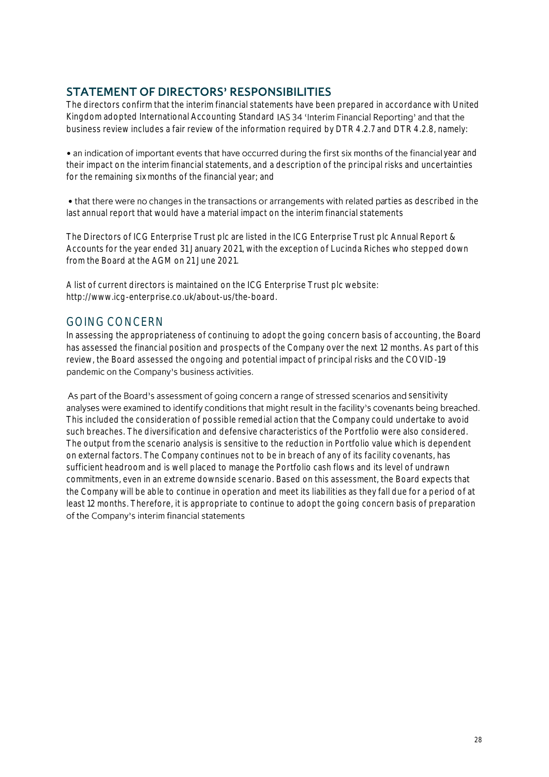## **STATEMENT OF DIRECTORS' RESPONSIBILITIES**

The directors confirm that the interim financial statements have been prepared in accordance with United Kingdom adopted International Accounting Standard IAS 34 'Interim Financial Reporting' and that the business review includes a fair review of the information required by DTR 4.2.7 and DTR 4.2.8, namely:

• an indication of important events that have occurred during the first six months of the financial year and their impact on the interim financial statements, and a description of the principal risks and uncertainties for the remaining six months of the financial year; and

• that there were no changes in the transactions or arrangements with related parties as described in the last annual report that would have a material impact on the interim financial statements

The Directors of ICG Enterprise Trust plc are listed in the ICG Enterprise Trust plc Annual Report & Accounts for the year ended 31 January 2021, with the exception of Lucinda Riches who stepped down from the Board at the AGM on 21 June 2021.

A list of current directors is maintained on the ICG Enterprise Trust plc website: http://www.icg-enterprise.co.uk/about-us/the-board.

## GOING CONCERN

In assessing the appropriateness of continuing to adopt the going concern basis of accounting, the Board has assessed the financial position and prospects of the Company over the next 12 months. As part of this review, the Board assessed the ongoing and potential impact of principal risks and the COVID-19 pandemic on the Company's business activities.

As part of the Board's assessment of going concern a range of stressed scenarios and sensitivity analyses were examined to identify conditions that might result in the facility's covenants being breached. This included the consideration of possible remedial action that the Company could undertake to avoid such breaches. The diversification and defensive characteristics of the Portfolio were also considered. The output from the scenario analysis is sensitive to the reduction in Portfolio value which is dependent on external factors. The Company continues not to be in breach of any of its facility covenants, has sufficient headroom and is well placed to manage the Portfolio cash flows and its level of undrawn commitments, even in an extreme downside scenario. Based on this assessment, the Board expects that the Company will be able to continue in operation and meet its liabilities as they fall due for a period of at least 12 months. Therefore, it is appropriate to continue to adopt the going concern basis of preparation of the Company's interim financial statements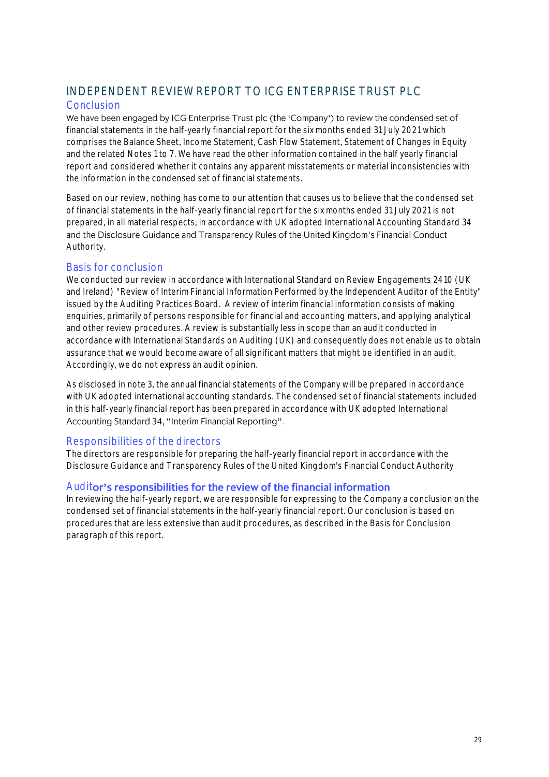# INDEPENDENT REVIEW REPORT TO ICG ENTERPRISE TRUST PLC

#### Conclusion

We have been engaged by ICG Enterprise Trust plc (the 'Company') to review the condensed set of financial statements in the half-yearly financial report for the six months ended 31 July 2021 which comprises the Balance Sheet, Income Statement, Cash Flow Statement, Statement of Changes in Equity and the related Notes 1 to 7. We have read the other information contained in the half yearly financial report and considered whether it contains any apparent misstatements or material inconsistencies with the information in the condensed set of financial statements.

Based on our review, nothing has come to our attention that causes us to believe that the condensed set of financial statements in the half-yearly financial report for the six months ended 31 July 2021 is not prepared, in all material respects, in accordance with UK adopted International Accounting Standard 34 and the Disclosure Guidance and Transparency Rules of the United Kingdom's Financial Conduct Authority.

### Basis for conclusion

We conducted our review in accordance with International Standard on Review Engagements 2410 (UK) and Ireland) "Review of Interim Financial Information Performed by the Independent Auditor of the Entity" issued by the Auditing Practices Board. A review of interim financial information consists of making enquiries, primarily of persons responsible for financial and accounting matters, and applying analytical and other review procedures. A review is substantially less in scope than an audit conducted in accordance with International Standards on Auditing (UK) and consequently does not enable us to obtain assurance that we would become aware of all significant matters that might be identified in an audit. Accordingly, we do not express an audit opinion.

As disclosed in note 3, the annual financial statements of the Company will be prepared in accordance with UK adopted international accounting standards. The condensed set of financial statements included in this half-yearly financial report has been prepared in accordance with UK adopted International Accounting Standard 34, "Interim Financial Reporting".

### Responsibilities of the directors

The directors are responsible for preparing the half-yearly financial report in accordance with the Disclosure Guidance and Transparency Rules of the United Kingdom's Financial Conduct Authority

### Auditor's responsibilities for the review of the financial information

In reviewing the half-yearly report, we are responsible for expressing to the Company a conclusion on the condensed set of financial statements in the half-yearly financial report. Our conclusion is based on procedures that are less extensive than audit procedures, as described in the Basis for Conclusion paragraph of this report.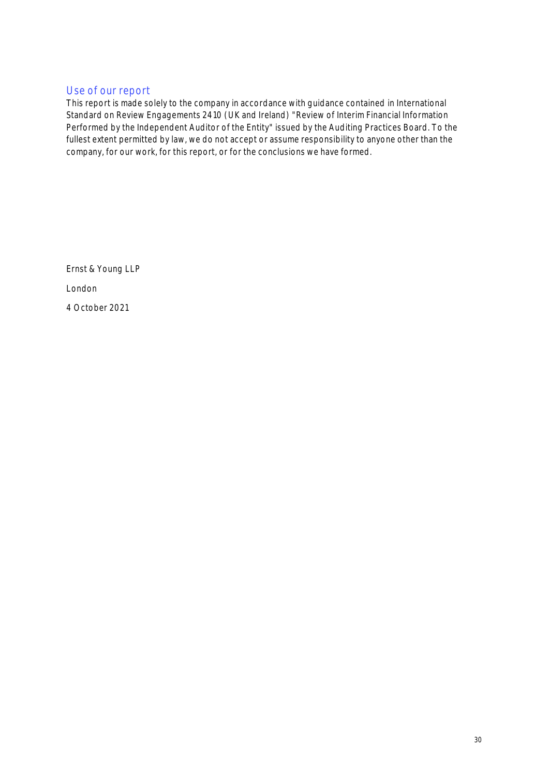### Use of our report

This report is made solely to the company in accordance with guidance contained in International Standard on Review Engagements 2410 (UK and Ireland) "Review of Interim Financial Information Performed by the Independent Auditor of the Entity" issued by the Auditing Practices Board. To the fullest extent permitted by law, we do not accept or assume responsibility to anyone other than the company, for our work, for this report, or for the conclusions we have formed.

Ernst & Young LLP London 4 October 2021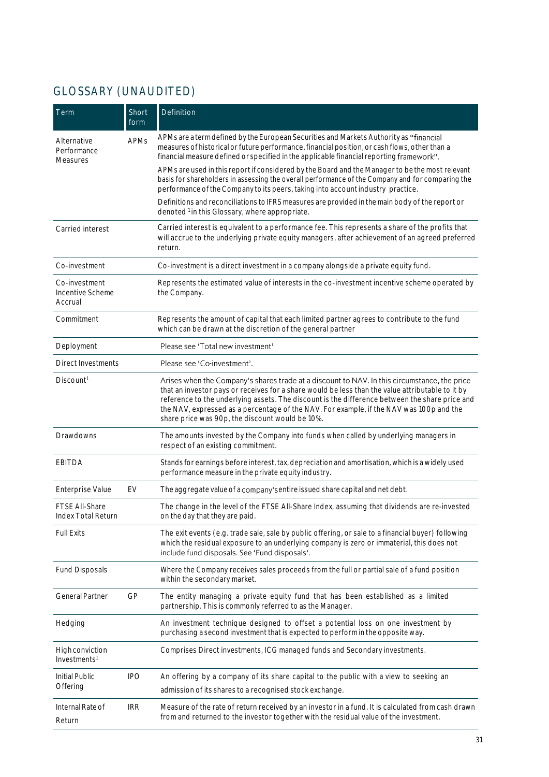# GLOSSARY (UNAUDITED)

| Term                                         | Short<br>form | Definition                                                                                                                                                                                                                                                                                                                                                                                                                                       |  |  |
|----------------------------------------------|---------------|--------------------------------------------------------------------------------------------------------------------------------------------------------------------------------------------------------------------------------------------------------------------------------------------------------------------------------------------------------------------------------------------------------------------------------------------------|--|--|
| Alternative<br>Performance<br>Measures       | <b>APMs</b>   | APMs are a term defined by the European Securities and Markets Authority as "financial<br>measures of historical or future performance, financial position, or cash flows, other than a<br>financial measure defined or specified in the applicable financial reporting framework".                                                                                                                                                              |  |  |
|                                              |               | APMs are used in this report if considered by the Board and the Manager to be the most relevant<br>basis for shareholders in assessing the overall performance of the Company and for comparing the<br>performance of the Company to its peers, taking into account industry practice.                                                                                                                                                           |  |  |
|                                              |               | Definitions and reconciliations to IFRS measures are provided in the main body of the report or<br>denoted <sup>1</sup> in this Glossary, where appropriate.                                                                                                                                                                                                                                                                                     |  |  |
| Carried interest                             |               | Carried interest is equivalent to a performance fee. This represents a share of the profits that<br>will accrue to the underlying private equity managers, after achievement of an agreed preferred<br>return.                                                                                                                                                                                                                                   |  |  |
| Co-investment                                |               | Co-investment is a direct investment in a company alongside a private equity fund.                                                                                                                                                                                                                                                                                                                                                               |  |  |
| Co-investment<br>Incentive Scheme<br>Accrual |               | Represents the estimated value of interests in the co-investment incentive scheme operated by<br>the Company.                                                                                                                                                                                                                                                                                                                                    |  |  |
| Commitment                                   |               | Represents the amount of capital that each limited partner agrees to contribute to the fund<br>which can be drawn at the discretion of the general partner                                                                                                                                                                                                                                                                                       |  |  |
| Deployment                                   |               | Please see 'Total new investment'                                                                                                                                                                                                                                                                                                                                                                                                                |  |  |
| <b>Direct Investments</b>                    |               | Please see 'Co-investment'.                                                                                                                                                                                                                                                                                                                                                                                                                      |  |  |
| Discount <sup>1</sup>                        |               | Arises when the Company's shares trade at a discount to NAV. In this circumstance, the price<br>that an investor pays or receives for a share would be less than the value attributable to it by<br>reference to the underlying assets. The discount is the difference between the share price and<br>the NAV, expressed as a percentage of the NAV. For example, if the NAV was 100p and the<br>share price was 90p, the discount would be 10%. |  |  |
| Drawdowns                                    |               | The amounts invested by the Company into funds when called by underlying managers in<br>respect of an existing commitment.                                                                                                                                                                                                                                                                                                                       |  |  |
| <b>EBITDA</b>                                |               | Stands for earnings before interest, tax, depreciation and amortisation, which is a widely used<br>performance measure in the private equity industry.                                                                                                                                                                                                                                                                                           |  |  |
| Enterprise Value                             | EV            | The aggregate value of a company's entire issued share capital and net debt.                                                                                                                                                                                                                                                                                                                                                                     |  |  |
| FTSE All-Share<br>Index Total Return         |               | The change in the level of the FTSE All-Share Index, assuming that dividends are re-invested<br>on the day that they are paid.                                                                                                                                                                                                                                                                                                                   |  |  |
| <b>Full Exits</b>                            |               | The exit events (e.g. trade sale, sale by public offering, or sale to a financial buyer) following<br>which the residual exposure to an underlying company is zero or immaterial, this does not<br>include fund disposals. See 'Fund disposals'.                                                                                                                                                                                                 |  |  |
| <b>Fund Disposals</b>                        |               | Where the Company receives sales proceeds from the full or partial sale of a fund position<br>within the secondary market.                                                                                                                                                                                                                                                                                                                       |  |  |
| General Partner                              | GP            | The entity managing a private equity fund that has been established as a limited<br>partnership. This is commonly referred to as the Manager.                                                                                                                                                                                                                                                                                                    |  |  |
| Hedging                                      |               | An investment technique designed to offset a potential loss on one investment by<br>purchasing a second investment that is expected to perform in the opposite way.                                                                                                                                                                                                                                                                              |  |  |
| High conviction<br>Investments <sup>1</sup>  |               | Comprises Direct investments, ICG managed funds and Secondary investments.                                                                                                                                                                                                                                                                                                                                                                       |  |  |
| Initial Public                               | <b>IPO</b>    | An offering by a company of its share capital to the public with a view to seeking an                                                                                                                                                                                                                                                                                                                                                            |  |  |
| Offering                                     |               | admission of its shares to a recognised stock exchange.                                                                                                                                                                                                                                                                                                                                                                                          |  |  |
| Internal Rate of<br>Return                   | <b>IRR</b>    | Measure of the rate of return received by an investor in a fund. It is calculated from cash drawn<br>from and returned to the investor together with the residual value of the investment.                                                                                                                                                                                                                                                       |  |  |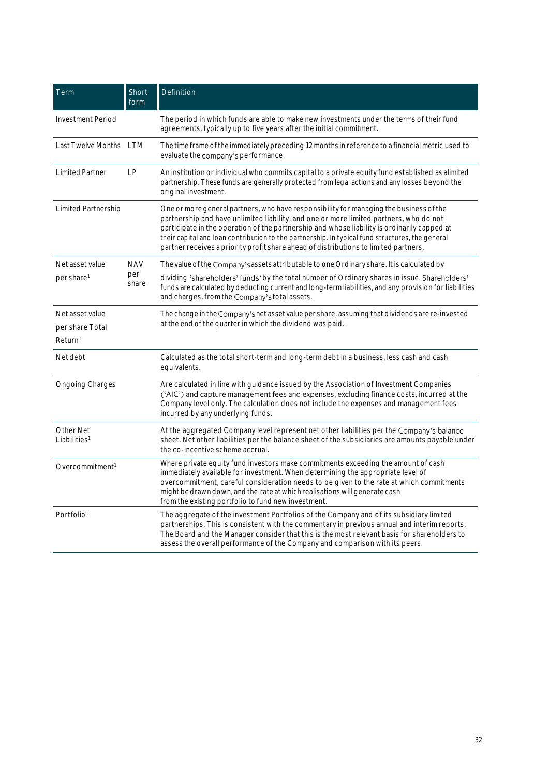| Term                                                      | Short<br>form | Definition                                                                                                                                                                                                                                                                                                                                                                                                                                                                 |  |  |  |
|-----------------------------------------------------------|---------------|----------------------------------------------------------------------------------------------------------------------------------------------------------------------------------------------------------------------------------------------------------------------------------------------------------------------------------------------------------------------------------------------------------------------------------------------------------------------------|--|--|--|
| <b>Investment Period</b>                                  |               | The period in which funds are able to make new investments under the terms of their fund<br>agreements, typically up to five years after the initial commitment.                                                                                                                                                                                                                                                                                                           |  |  |  |
| Last Twelve Months LTM                                    |               | The time frame of the immediately preceding 12 months in reference to a financial metric used to<br>evaluate the company's performance.                                                                                                                                                                                                                                                                                                                                    |  |  |  |
| <b>Limited Partner</b>                                    | LP            | An institution or individual who commits capital to a private equity fund established as alimited<br>partnership. These funds are generally protected from legal actions and any losses beyond the<br>original investment.                                                                                                                                                                                                                                                 |  |  |  |
| Limited Partnership                                       |               | One or more general partners, who have responsibility for managing the business of the<br>partnership and have unlimited liability, and one or more limited partners, who do not<br>participate in the operation of the partnership and whose liability is ordinarily capped at<br>their capital and loan contribution to the partnership. In typical fund structures, the general<br>partner receives a priority profit share ahead of distributions to limited partners. |  |  |  |
| Net asset value                                           | <b>NAV</b>    | The value of the Company's assets attributable to one Ordinary share. It is calculated by                                                                                                                                                                                                                                                                                                                                                                                  |  |  |  |
| per share <sup>1</sup>                                    | per<br>share  | dividing 'shareholders' funds' by the total number of Ordinary shares in issue. Shareholders'<br>funds are calculated by deducting current and long-term liabilities, and any provision for liabilities<br>and charges, from the Company's total assets.                                                                                                                                                                                                                   |  |  |  |
| Net asset value<br>per share Total<br>Return <sup>1</sup> |               | The change in the Company's net asset value per share, assuming that dividends are re-invested<br>at the end of the quarter in which the dividend was paid.                                                                                                                                                                                                                                                                                                                |  |  |  |
| Net debt                                                  |               | Calculated as the total short-term and long-term debt in a business, less cash and cash<br>equivalents.                                                                                                                                                                                                                                                                                                                                                                    |  |  |  |
| Ongoing Charges                                           |               | Are calculated in line with guidance issued by the Association of Investment Companies<br>('AIC') and capture management fees and expenses, excluding finance costs, incurred at the<br>Company level only. The calculation does not include the expenses and management fees<br>incurred by any underlying funds.                                                                                                                                                         |  |  |  |
| Other Net<br>Liabilities <sup>1</sup>                     |               | At the aggregated Company level represent net other liabilities per the Company's balance<br>sheet. Net other liabilities per the balance sheet of the subsidiaries are amounts payable under<br>the co-incentive scheme accrual.                                                                                                                                                                                                                                          |  |  |  |
| Overcommitment <sup>1</sup>                               |               | Where private equity fund investors make commitments exceeding the amount of cash<br>immediately available for investment. When determining the appropriate level of<br>overcommitment, careful consideration needs to be given to the rate at which commitments<br>might be drawn down, and the rate at which realisations will generate cash<br>from the existing portfolio to fund new investment.                                                                      |  |  |  |
| Portfolio <sup>1</sup>                                    |               | The aggregate of the investment Portfolios of the Company and of its subsidiary limited<br>partnerships. This is consistent with the commentary in previous annual and interim reports.<br>The Board and the Manager consider that this is the most relevant basis for shareholders to<br>assess the overall performance of the Company and comparison with its peers.                                                                                                     |  |  |  |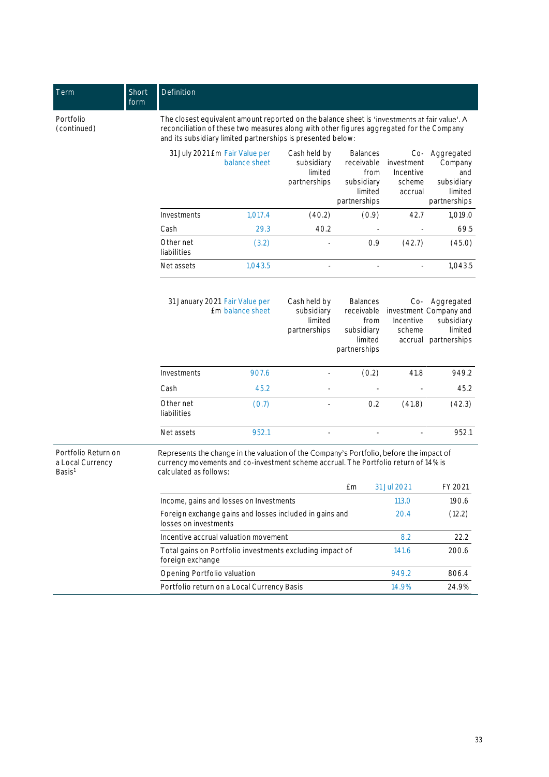| Term                                                          | Short<br>form | Definition                                                                                                                                                                                                                                               |                                                           |                                                                                                                                         |                                                                                |                                                       |                                                                               |  |
|---------------------------------------------------------------|---------------|----------------------------------------------------------------------------------------------------------------------------------------------------------------------------------------------------------------------------------------------------------|-----------------------------------------------------------|-----------------------------------------------------------------------------------------------------------------------------------------|--------------------------------------------------------------------------------|-------------------------------------------------------|-------------------------------------------------------------------------------|--|
| Portfolio<br>(continued)                                      |               | The closest equivalent amount reported on the balance sheet is 'investments at fair value'. A<br>reconciliation of these two measures along with other figures aggregated for the Company<br>and its subsidiary limited partnerships is presented below: |                                                           |                                                                                                                                         |                                                                                |                                                       |                                                                               |  |
|                                                               |               | 31 July 2021 Em Fair Value per<br>balance sheet                                                                                                                                                                                                          |                                                           | Cash held by<br><b>Balances</b><br>receivable<br>subsidiary<br>limited<br>from<br>partnerships<br>subsidiary<br>limited<br>partnerships |                                                                                | $Co-$<br>investment<br>Incentive<br>scheme<br>accrual | Aggregated<br>Company<br>and<br>subsidiary<br>limited<br>partnerships         |  |
|                                                               |               | Investments                                                                                                                                                                                                                                              | 1,017.4                                                   | (40.2)                                                                                                                                  | (0.9)                                                                          | 42.7                                                  | 1,019.0                                                                       |  |
|                                                               |               | Cash                                                                                                                                                                                                                                                     | 29.3                                                      | 40.2                                                                                                                                    |                                                                                |                                                       | 69.5                                                                          |  |
|                                                               |               | Other net<br>liabilities                                                                                                                                                                                                                                 | (3.2)                                                     |                                                                                                                                         | 0.9                                                                            | (42.7)                                                | (45.0)                                                                        |  |
|                                                               |               | Net assets                                                                                                                                                                                                                                               | 1,043.5                                                   |                                                                                                                                         |                                                                                |                                                       | 1,043.5                                                                       |  |
|                                                               |               |                                                                                                                                                                                                                                                          | 31 January 2021 Fair Value per<br><b>Em balance sheet</b> | Cash held by<br>subsidiary<br>limited<br>partnerships                                                                                   | <b>Balances</b><br>receivable<br>from<br>subsidiary<br>limited<br>partnerships | Co-<br>Incentive<br>scheme<br>accrual                 | Aggregated<br>investment Company and<br>subsidiary<br>limited<br>partnerships |  |
|                                                               |               | Investments                                                                                                                                                                                                                                              | 907.6                                                     |                                                                                                                                         | (0.2)                                                                          | 41.8                                                  | 949.2                                                                         |  |
|                                                               |               | Cash                                                                                                                                                                                                                                                     | 45.2                                                      |                                                                                                                                         |                                                                                |                                                       | 45.2                                                                          |  |
|                                                               |               | Other net<br>liabilities                                                                                                                                                                                                                                 | (0.7)                                                     |                                                                                                                                         | 0.2                                                                            | (41.8)                                                | (42.3)                                                                        |  |
|                                                               |               | Net assets                                                                                                                                                                                                                                               | 952.1                                                     |                                                                                                                                         |                                                                                |                                                       | 952.1                                                                         |  |
| Portfolio Return on<br>a Local Currency<br>Basis <sup>1</sup> |               | Represents the change in the valuation of the Company's Portfolio, before the impact of<br>currency movements and co-investment scheme accrual. The Portfolio return of 14% is<br>calculated as follows:                                                 |                                                           |                                                                                                                                         |                                                                                |                                                       |                                                                               |  |
|                                                               |               |                                                                                                                                                                                                                                                          |                                                           |                                                                                                                                         | £m                                                                             | 31 Jul 2021                                           | FY 2021                                                                       |  |
|                                                               |               | Income, gains and losses on Investments                                                                                                                                                                                                                  |                                                           |                                                                                                                                         |                                                                                | 113.0                                                 | 190.6                                                                         |  |
|                                                               |               | losses on investments                                                                                                                                                                                                                                    | Foreign exchange gains and losses included in gains and   |                                                                                                                                         | 20.4                                                                           | (12.2)                                                |                                                                               |  |
|                                                               |               | Incentive accrual valuation movement                                                                                                                                                                                                                     |                                                           |                                                                                                                                         |                                                                                | 8.2                                                   | 22.2                                                                          |  |
|                                                               |               | Total gains on Portfolio investments excluding impact of<br>foreign exchange                                                                                                                                                                             |                                                           |                                                                                                                                         |                                                                                | 141.6                                                 | 200.6                                                                         |  |
|                                                               |               | Opening Portfolio valuation                                                                                                                                                                                                                              |                                                           |                                                                                                                                         |                                                                                | 949.2                                                 | 806.4                                                                         |  |
|                                                               |               | Portfolio return on a Local Currency Basis                                                                                                                                                                                                               |                                                           |                                                                                                                                         |                                                                                | 14.9%                                                 | 24.9%                                                                         |  |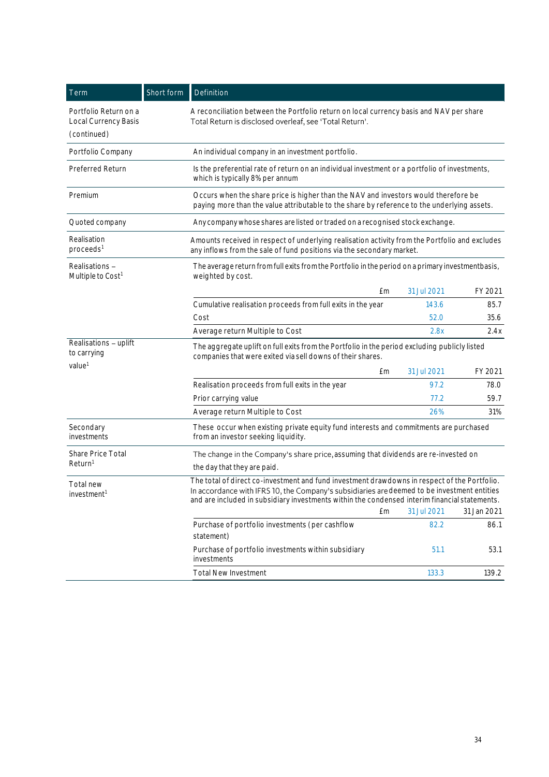| Term                                                                                                                                                                     | Short form | Definition                                                                                                                                                                                                                                                                                   |    |             |             |  |  |
|--------------------------------------------------------------------------------------------------------------------------------------------------------------------------|------------|----------------------------------------------------------------------------------------------------------------------------------------------------------------------------------------------------------------------------------------------------------------------------------------------|----|-------------|-------------|--|--|
| Portfolio Return on a<br>Local Currency Basis                                                                                                                            |            | A reconciliation between the Portfolio return on local currency basis and NAV per share<br>Total Return is disclosed overleaf, see 'Total Return'.                                                                                                                                           |    |             |             |  |  |
| (continued)                                                                                                                                                              |            |                                                                                                                                                                                                                                                                                              |    |             |             |  |  |
| Portfolio Company                                                                                                                                                        |            | An individual company in an investment portfolio.                                                                                                                                                                                                                                            |    |             |             |  |  |
| Preferred Return                                                                                                                                                         |            | Is the preferential rate of return on an individual investment or a portfolio of investments,<br>which is typically 8% per annum                                                                                                                                                             |    |             |             |  |  |
| Premium                                                                                                                                                                  |            | Occurs when the share price is higher than the NAV and investors would therefore be<br>paying more than the value attributable to the share by reference to the underlying assets.                                                                                                           |    |             |             |  |  |
| Quoted company                                                                                                                                                           |            | Any company whose shares are listed or traded on a recognised stock exchange.                                                                                                                                                                                                                |    |             |             |  |  |
| Realisation<br>proceeds <sup>1</sup>                                                                                                                                     |            | Amounts received in respect of underlying realisation activity from the Portfolio and excludes<br>any inflows from the sale of fund positions via the secondary market.                                                                                                                      |    |             |             |  |  |
| Realisations-<br>The average return from full exits from the Portfolio in the period on a primary investmentbasis,<br>Multiple to Cost <sup>1</sup><br>weighted by cost. |            |                                                                                                                                                                                                                                                                                              |    |             |             |  |  |
|                                                                                                                                                                          |            |                                                                                                                                                                                                                                                                                              | £m | 31 Jul 2021 | FY 2021     |  |  |
|                                                                                                                                                                          |            | Cumulative realisation proceeds from full exits in the year                                                                                                                                                                                                                                  |    | 143.6       | 85.7        |  |  |
|                                                                                                                                                                          |            | Cost                                                                                                                                                                                                                                                                                         |    | 52.0        | 35.6        |  |  |
|                                                                                                                                                                          |            | Average return Multiple to Cost                                                                                                                                                                                                                                                              |    | 2.8x        | 2.4x        |  |  |
| Realisations - uplift<br>to carrying                                                                                                                                     |            | The aggregate uplift on full exits from the Portfolio in the period excluding publicly listed<br>companies that were exited via sell downs of their shares.                                                                                                                                  |    |             |             |  |  |
| value <sup>1</sup>                                                                                                                                                       |            |                                                                                                                                                                                                                                                                                              | £m | 31 Jul 2021 | FY 2021     |  |  |
|                                                                                                                                                                          |            | Realisation proceeds from full exits in the year                                                                                                                                                                                                                                             |    | 97.2        | 78.0        |  |  |
|                                                                                                                                                                          |            | Prior carrying value                                                                                                                                                                                                                                                                         |    | 77.2        | 59.7        |  |  |
|                                                                                                                                                                          |            | Average return Multiple to Cost                                                                                                                                                                                                                                                              |    | 26%         | 31%         |  |  |
| Secondary<br>investments                                                                                                                                                 |            | These occur when existing private equity fund interests and commitments are purchased<br>from an investor seeking liquidity.                                                                                                                                                                 |    |             |             |  |  |
| <b>Share Price Total</b>                                                                                                                                                 |            | The change in the Company's share price, assuming that dividends are re-invested on                                                                                                                                                                                                          |    |             |             |  |  |
| Return <sup>1</sup>                                                                                                                                                      |            | the day that they are paid.                                                                                                                                                                                                                                                                  |    |             |             |  |  |
| Total new<br>investment <sup>1</sup>                                                                                                                                     |            | The total of direct co-investment and fund investment drawdowns in respect of the Portfolio.<br>In accordance with IFRS 10, the Company's subsidiaries are deemed to be investment entities<br>and are included in subsidiary investments within the condensed interim financial statements. |    |             |             |  |  |
|                                                                                                                                                                          |            |                                                                                                                                                                                                                                                                                              | £m | 31 Jul 2021 | 31 Jan 2021 |  |  |
|                                                                                                                                                                          |            | Purchase of portfolio investments (per cashflow<br>statement)                                                                                                                                                                                                                                |    | 82.2        | 86.1        |  |  |
|                                                                                                                                                                          |            | Purchase of portfolio investments within subsidiary<br>investments                                                                                                                                                                                                                           |    | 51.1        | 53.1        |  |  |
|                                                                                                                                                                          |            | <b>Total New Investment</b>                                                                                                                                                                                                                                                                  |    | 133.3       | 139.2       |  |  |